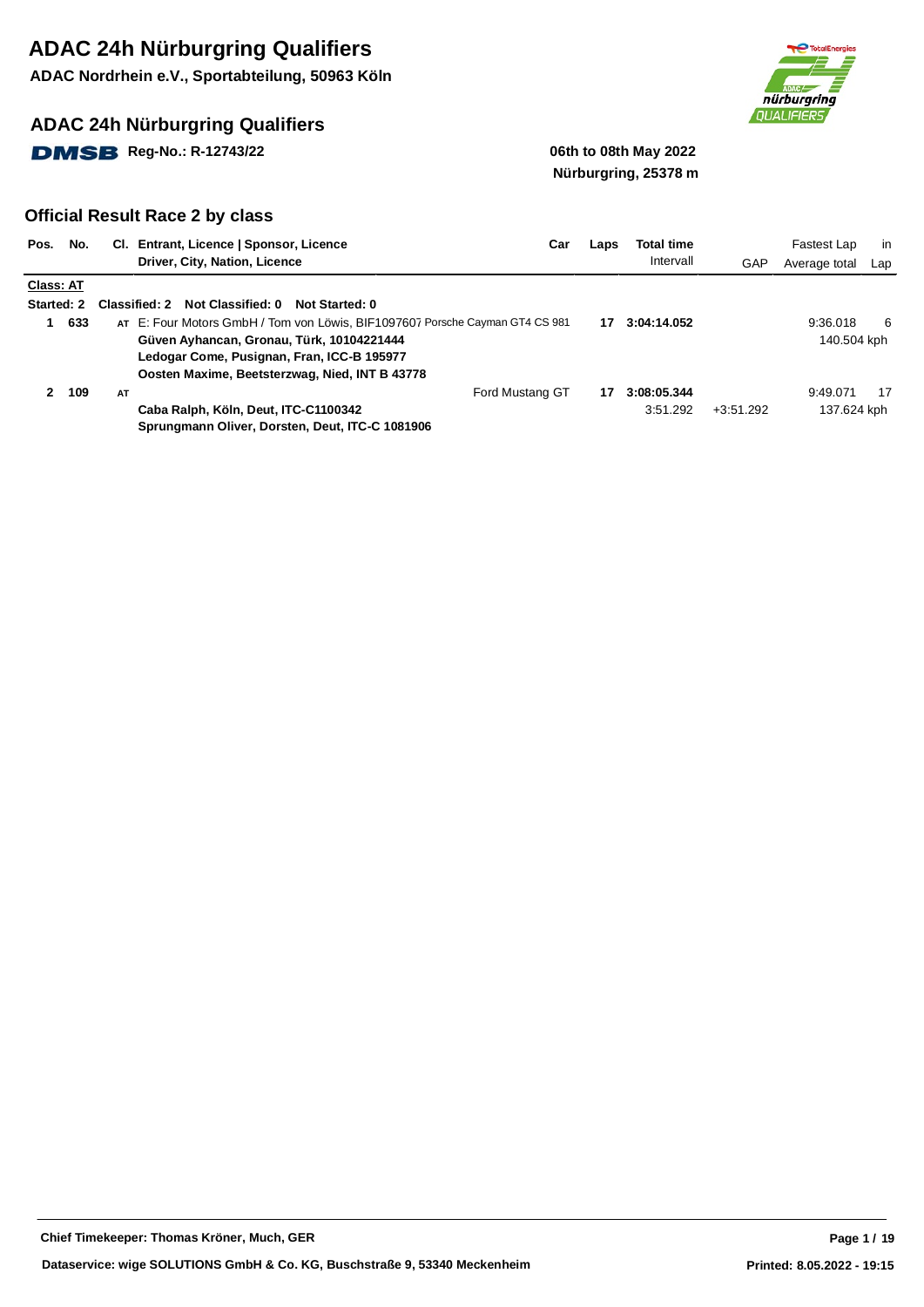**ADAC Nordrhein e.V., Sportabteilung, 50963 Köln**

### **ADAC 24h Nürburgring Qualifiers**

**DMSB** Reg-No.: R-12743/22 **12.1399 12.14 12.14 12.14 12.14 12.14 12.14 12.14 12.14 12.14 12.14 12.14 12.14 12.14 12.14 12.14 12.14 12.14 12.14 12.14 12.14 12.14 12.14 12.14 12.14 12.14 12.14 12.14 12.14 12.14 12.14 12.14** 



# **Nürburgring, 25378 m**

| Pos.              | No. |    | CI. Entrant, Licence   Sponsor, Licence                                      | Car | Laps | Total time  |             | Fastest Lap   | in  |
|-------------------|-----|----|------------------------------------------------------------------------------|-----|------|-------------|-------------|---------------|-----|
|                   |     |    | Driver, City, Nation, Licence                                                |     |      | Intervall   | GAP         | Average total | Lap |
| <b>Class: AT</b>  |     |    |                                                                              |     |      |             |             |               |     |
| <b>Started: 2</b> |     |    | Not Classified: 0<br>Classified: 2<br>Not Started: 0                         |     |      |             |             |               |     |
|                   | 633 |    | AT E: Four Motors GmbH / Tom von Löwis, BIF1097607 Porsche Cayman GT4 CS 981 |     | 17   | 3:04:14.052 |             | 9:36.018      | 6   |
|                   |     |    | Güven Ayhancan, Gronau, Türk, 10104221444                                    |     |      |             |             | 140.504 kph   |     |
|                   |     |    | Ledogar Come, Pusignan, Fran, ICC-B 195977                                   |     |      |             |             |               |     |
|                   |     |    | Oosten Maxime, Beetsterzwag, Nied, INT B 43778                               |     |      |             |             |               |     |
| 2                 | 109 | AT | Ford Mustang GT                                                              |     | 17   | 3:08:05.344 |             | 9:49.071      | 17  |
|                   |     |    | Caba Ralph, Köln, Deut, ITC-C1100342                                         |     |      | 3:51.292    | $+3:51.292$ | 137.624 kph   |     |
|                   |     |    | Sprungmann Oliver, Dorsten, Deut, ITC-C 1081906                              |     |      |             |             |               |     |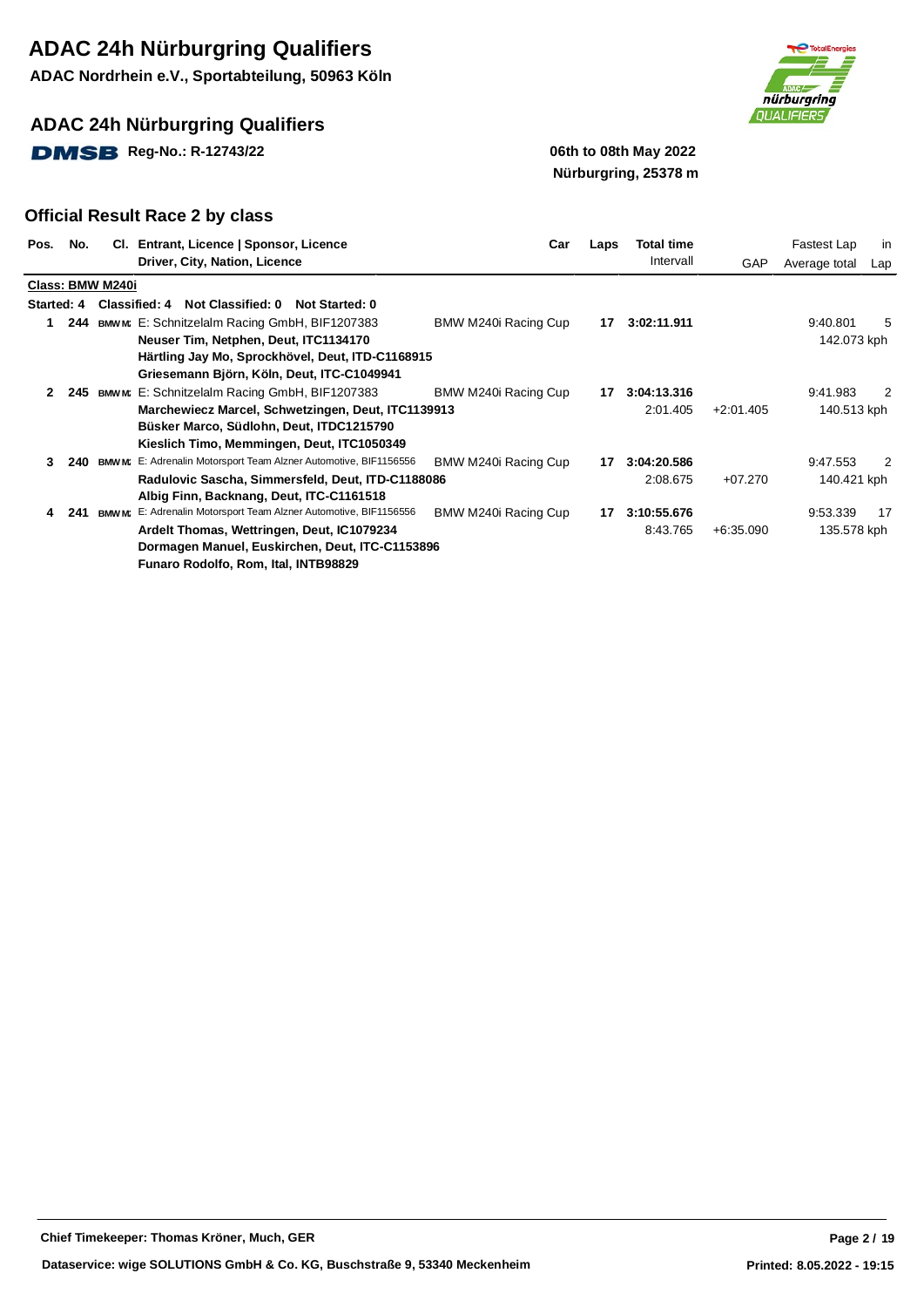**ADAC Nordrhein e.V., Sportabteilung, 50963 Köln**

### **ADAC 24h Nürburgring Qualifiers**

**DMSB** Reg-No.: R-12743/22 **19.12 19.13 19.14 19.14 19.14 19.14 19.14 19.14 19.14 19.14 19.14 19.14 19.14 19.14 19.14 19.14 19.14 19.14 19.14 19.14 19.14 19.14 19.14 19.14 19.14 19.14 19.14 19.14 19.14 19.14 19.14 19.14 19** 



# **Nürburgring, 25378 m**

|              | Pos. No. | CI.              | Entrant, Licence   Sponsor, Licence                               | Car                  | Laps | <b>Total time</b> |             | Fastest Lap   | in  |
|--------------|----------|------------------|-------------------------------------------------------------------|----------------------|------|-------------------|-------------|---------------|-----|
|              |          |                  | Driver, City, Nation, Licence                                     |                      |      | Intervall         | GAP         | Average total | Lap |
|              |          | Class: BMW M240i |                                                                   |                      |      |                   |             |               |     |
| Started: 4   |          |                  | <b>Classified: 4</b><br>Not Classified: 0 Not Started: 0          |                      |      |                   |             |               |     |
| 1.           | 244      |                  | <b>BMWM:</b> E: Schnitzelalm Racing GmbH, BIF1207383              | BMW M240i Racing Cup | 17   | 3:02:11.911       |             | 9:40.801      | 5   |
|              |          |                  | Neuser Tim, Netphen, Deut, ITC1134170                             |                      |      |                   |             | 142.073 kph   |     |
|              |          |                  | Härtling Jay Mo, Sprockhövel, Deut, ITD-C1168915                  |                      |      |                   |             |               |     |
|              |          |                  | Griesemann Björn, Köln, Deut, ITC-C1049941                        |                      |      |                   |             |               |     |
| $\mathbf{2}$ | 245      |                  | BMW M: E: Schnitzelalm Racing GmbH, BIF1207383                    | BMW M240i Racing Cup | 17   | 3:04:13.316       |             | 9:41.983      | 2   |
|              |          |                  | Marchewiecz Marcel, Schwetzingen, Deut, ITC1139913                |                      |      | 2:01.405          | $+2:01.405$ | 140.513 kph   |     |
|              |          |                  | Büsker Marco, Südlohn, Deut, ITDC1215790                          |                      |      |                   |             |               |     |
|              |          |                  | Kieslich Timo, Memmingen, Deut, ITC1050349                        |                      |      |                   |             |               |     |
| 3            | 240      | <b>BMW M:</b>    | E: Adrenalin Motorsport Team Alzner Automotive, BIF1156556        | BMW M240i Racing Cup | 17   | 3:04:20.586       |             | 9:47.553      | 2   |
|              |          |                  | Radulovic Sascha, Simmersfeld, Deut, ITD-C1188086                 |                      |      | 2:08.675          | $+07.270$   | 140.421 kph   |     |
|              |          |                  | Albig Finn, Backnang, Deut, ITC-C1161518                          |                      |      |                   |             |               |     |
| 4            | 241      |                  | BMW M: E: Adrenalin Motorsport Team Alzner Automotive, BIF1156556 | BMW M240i Racing Cup | 17   | 3:10:55.676       |             | 9:53.339      | -17 |
|              |          |                  | Ardelt Thomas, Wettringen, Deut, IC1079234                        |                      |      | 8:43.765          | $+6:35.090$ | 135.578 kph   |     |
|              |          |                  | Dormagen Manuel, Euskirchen, Deut, ITC-C1153896                   |                      |      |                   |             |               |     |
|              |          |                  | Funaro Rodolfo, Rom, Ital, INTB98829                              |                      |      |                   |             |               |     |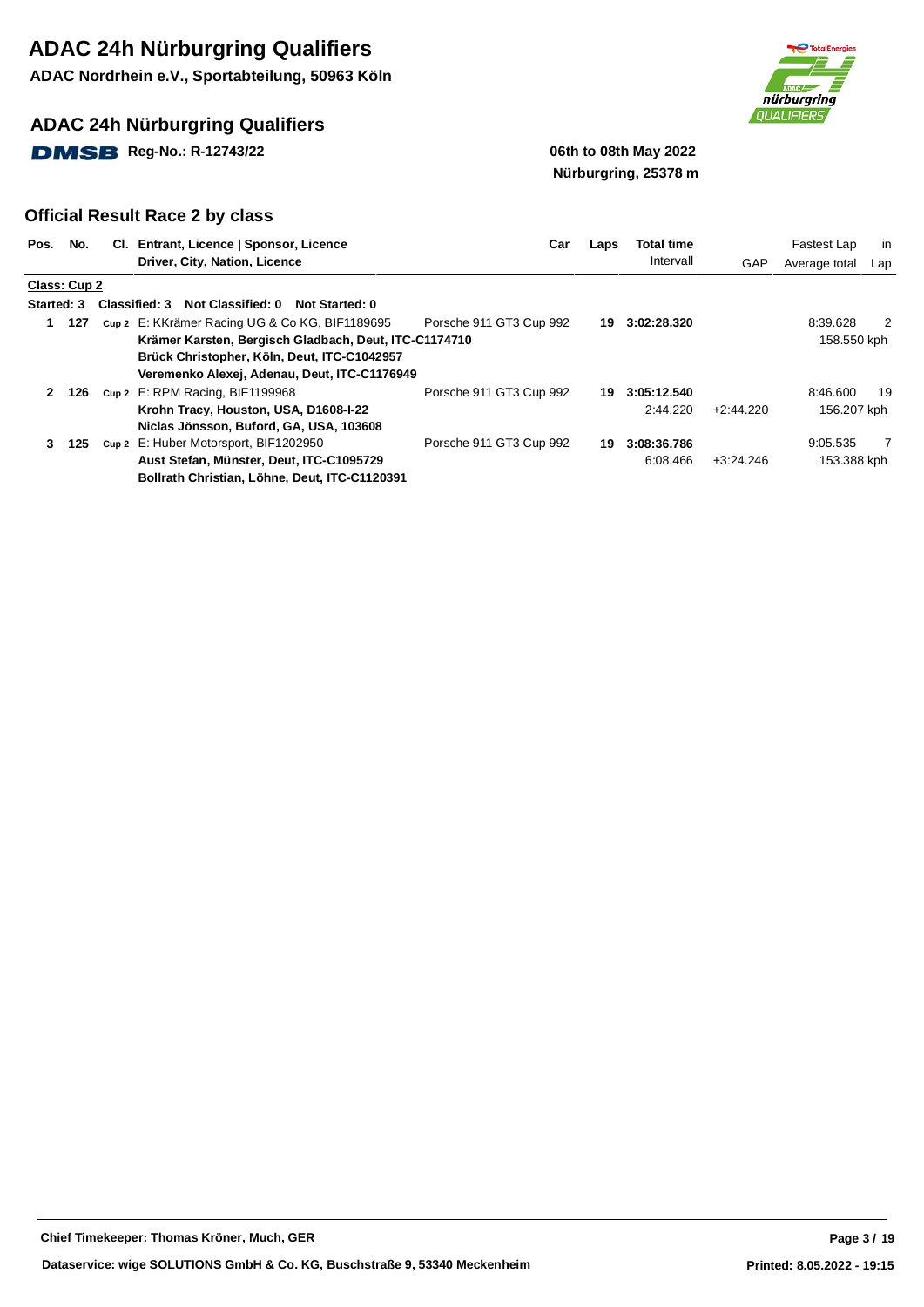**ADAC Nordrhein e.V., Sportabteilung, 50963 Köln**

### **ADAC 24h Nürburgring Qualifiers**

**DMSB** Reg-No.: R-12743/22 **19.12 19.13 19.14 19.14 19.14 19.14 19.14 19.14 19.14 19.14 19.14 19.14 19.14 19.14 19.14 19.14 19.14 19.14 19.14 19.14 19.14 19.14 19.14 19.14 19.14 19.14 19.14 19.14 19.14 19.14 19.14 19.14 19** 



# **Nürburgring, 25378 m**

| Pos.         | No.          | CI. Entrant, Licence   Sponsor, Licence                            | Car                     | Laps | <b>Total time</b> |             | Fastest Lap   | in  |
|--------------|--------------|--------------------------------------------------------------------|-------------------------|------|-------------------|-------------|---------------|-----|
|              |              | Driver, City, Nation, Licence                                      |                         |      | Intervall         | GAP         | Average total | Lap |
|              | Class: Cup 2 |                                                                    |                         |      |                   |             |               |     |
| Started: 3   |              | <b>Classified: 3</b><br>Not Classified: 0<br><b>Not Started: 0</b> |                         |      |                   |             |               |     |
| 1            | 127          | cup 2 E: KKrämer Racing UG & Co KG, BIF1189695                     | Porsche 911 GT3 Cup 992 | 19   | 3:02:28.320       |             | 8:39.628      | 2   |
|              |              | Krämer Karsten, Bergisch Gladbach, Deut, ITC-C1174710              |                         |      |                   |             | 158.550 kph   |     |
|              |              | Brück Christopher, Köln, Deut, ITC-C1042957                        |                         |      |                   |             |               |     |
|              |              | Veremenko Alexej, Adenau, Deut, ITC-C1176949                       |                         |      |                   |             |               |     |
| $\mathbf{2}$ | 126          | Cup 2 E: RPM Racing, BIF1199968                                    | Porsche 911 GT3 Cup 992 | 19   | 3:05:12.540       |             | 8:46.600      | 19  |
|              |              | Krohn Tracy, Houston, USA, D1608-I-22                              |                         |      | 2:44.220          | $+2:44.220$ | 156.207 kph   |     |
|              |              | Niclas Jönsson, Buford, GA, USA, 103608                            |                         |      |                   |             |               |     |
| 3            | 125          | Cup 2 E: Huber Motorsport, BIF1202950                              | Porsche 911 GT3 Cup 992 | 19   | 3:08:36.786       |             | 9:05.535      | 7   |
|              |              | Aust Stefan, Münster, Deut, ITC-C1095729                           |                         |      | 6:08.466          | $+3:24.246$ | 153.388 kph   |     |
|              |              | Bollrath Christian, Löhne, Deut, ITC-C1120391                      |                         |      |                   |             |               |     |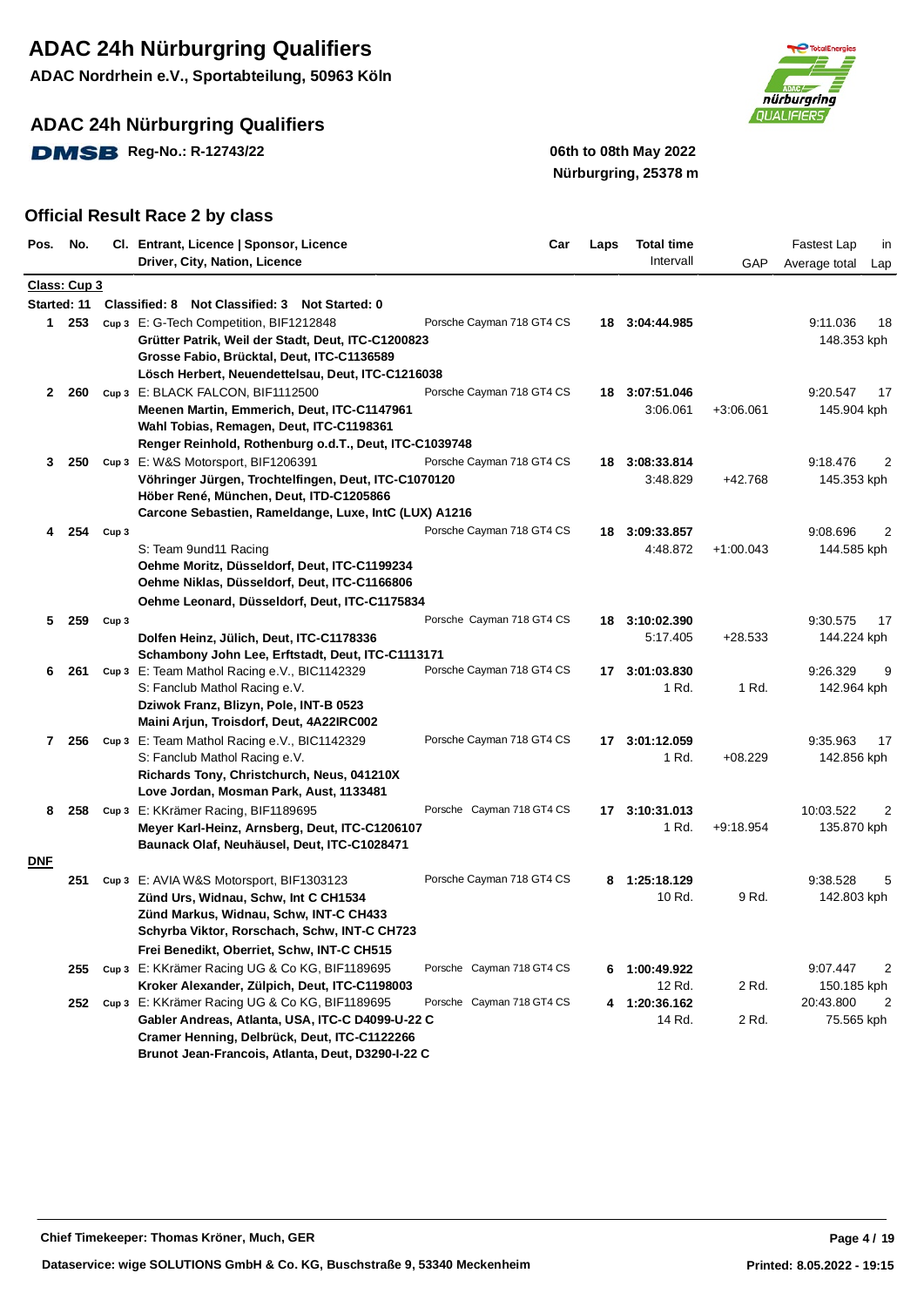**ADAC Nordrhein e.V., Sportabteilung, 50963 Köln**

### **ADAC 24h Nürburgring Qualifiers**

**DMSB** Reg-No.: R-12743/22 **12.1399 12.14 12.14 12.14 12.14 12.14 12.14 12.14 12.14 12.14 12.14 12.14 12.14 12.14 12.14 12.14 12.14 12.14 12.14 12.14 12.14 12.14 12.14 12.14 12.14 12.14 12.14 12.14 12.14 12.14 12.14 12.14** 



# **Nürburgring, 25378 m**

| Pos. No.    |              |                  | Cl. Entrant, Licence   Sponsor, Licence                                                           | Car                       | Laps | <b>Total time</b> |             | <b>Fastest Lap</b><br>in     |
|-------------|--------------|------------------|---------------------------------------------------------------------------------------------------|---------------------------|------|-------------------|-------------|------------------------------|
|             |              |                  | Driver, City, Nation, Licence                                                                     |                           |      | Intervall         | GAP         | Average total<br>Lap         |
|             | Class: Cup 3 |                  |                                                                                                   |                           |      |                   |             |                              |
| Started: 11 |              |                  | Classified: 8 Not Classified: 3 Not Started: 0                                                    |                           |      |                   |             |                              |
|             | 1 253        |                  | cup 3 E: G-Tech Competition, BIF1212848                                                           | Porsche Cayman 718 GT4 CS |      | 18 3:04:44.985    |             | 9:11.036<br>18               |
|             |              |                  | Grütter Patrik, Weil der Stadt, Deut, ITC-C1200823                                                |                           |      |                   |             | 148.353 kph                  |
|             |              |                  | Grosse Fabio, Brücktal, Deut, ITC-C1136589                                                        |                           |      |                   |             |                              |
|             |              |                  | Lösch Herbert, Neuendettelsau, Deut, ITC-C1216038                                                 |                           |      |                   |             |                              |
|             | 2 260        |                  | Cup 3 E: BLACK FALCON, BIF1112500                                                                 | Porsche Cayman 718 GT4 CS |      | 18 3:07:51.046    |             | 9:20.547<br>17               |
|             |              |                  | Meenen Martin, Emmerich, Deut, ITC-C1147961                                                       |                           |      | 3:06.061          | $+3:06.061$ | 145.904 kph                  |
|             |              |                  | Wahl Tobias, Remagen, Deut, ITC-C1198361                                                          |                           |      |                   |             |                              |
|             |              |                  | Renger Reinhold, Rothenburg o.d.T., Deut, ITC-C1039748                                            |                           |      |                   |             |                              |
| 3           | - 250        |                  | Cup 3 E: W&S Motorsport, BIF1206391                                                               | Porsche Cayman 718 GT4 CS |      | 18 3:08:33.814    |             | 9:18.476<br>2                |
|             |              |                  | Vöhringer Jürgen, Trochtelfingen, Deut, ITC-C1070120                                              |                           |      | 3:48.829          | +42.768     | 145.353 kph                  |
|             |              |                  | Höber René, München, Deut, ITD-C1205866<br>Carcone Sebastien, Rameldange, Luxe, IntC (LUX) A1216  |                           |      |                   |             |                              |
|             |              |                  |                                                                                                   |                           |      |                   |             |                              |
| 4           | 254          | Cup <sub>3</sub> |                                                                                                   | Porsche Cayman 718 GT4 CS | 18   | 3:09:33.857       |             | 9:08.696<br>2<br>144.585 kph |
|             |              |                  | S: Team 9und11 Racing<br>Oehme Moritz, Düsseldorf, Deut, ITC-C1199234                             |                           |      | 4:48.872          | $+1:00.043$ |                              |
|             |              |                  | Oehme Niklas, Düsseldorf, Deut, ITC-C1166806                                                      |                           |      |                   |             |                              |
|             |              |                  | Oehme Leonard, Düsseldorf, Deut, ITC-C1175834                                                     |                           |      |                   |             |                              |
| 5.          | 259          | Cup <sub>3</sub> |                                                                                                   | Porsche Cayman 718 GT4 CS |      | 18 3:10:02.390    |             | 9:30.575<br>17               |
|             |              |                  | Dolfen Heinz, Jülich, Deut, ITC-C1178336                                                          |                           |      | 5:17.405          | $+28.533$   | 144.224 kph                  |
|             |              |                  | Schambony John Lee, Erftstadt, Deut, ITC-C1113171                                                 |                           |      |                   |             |                              |
| 6           | 261          |                  | Cup 3 E: Team Mathol Racing e.V., BIC1142329                                                      | Porsche Cayman 718 GT4 CS |      | 17 3:01:03.830    |             | 9:26.329<br>9                |
|             |              |                  | S: Fanclub Mathol Racing e.V.                                                                     |                           |      | 1 Rd.             | 1 Rd.       | 142.964 kph                  |
|             |              |                  | Dziwok Franz, Blizyn, Pole, INT-B 0523                                                            |                           |      |                   |             |                              |
|             |              |                  | Maini Arjun, Troisdorf, Deut, 4A22IRC002                                                          |                           |      |                   |             |                              |
|             | 7 256        |                  | cup 3 E: Team Mathol Racing e.V., BIC1142329                                                      | Porsche Cayman 718 GT4 CS |      | 17 3:01:12.059    |             | 9:35.963<br>17               |
|             |              |                  | S: Fanclub Mathol Racing e.V.                                                                     |                           |      | 1 Rd.             | $+08.229$   | 142.856 kph                  |
|             |              |                  | Richards Tony, Christchurch, Neus, 041210X                                                        |                           |      |                   |             |                              |
|             |              |                  | Love Jordan, Mosman Park, Aust, 1133481                                                           |                           |      |                   |             |                              |
| 8           | 258          |                  | Cup 3 E: KKrämer Racing, BIF1189695                                                               | Porsche Cayman 718 GT4 CS |      | 17 3:10:31.013    |             | 10:03.522<br>2               |
|             |              |                  | Meyer Karl-Heinz, Arnsberg, Deut, ITC-C1206107                                                    |                           |      | 1 Rd.             | $+9:18.954$ | 135.870 kph                  |
|             |              |                  | Baunack Olaf, Neuhäusel, Deut, ITC-C1028471                                                       |                           |      |                   |             |                              |
| <b>DNF</b>  |              |                  |                                                                                                   |                           |      |                   |             |                              |
|             | 251          |                  | Cup 3 E: AVIA W&S Motorsport, BIF1303123                                                          | Porsche Cayman 718 GT4 CS | 8    | 1:25:18.129       |             | 9:38.528<br>5                |
|             |              |                  | Zünd Urs, Widnau, Schw, Int C CH1534                                                              |                           |      | 10 Rd.            | 9 Rd.       | 142.803 kph                  |
|             |              |                  | Zünd Markus, Widnau, Schw, INT-C CH433                                                            |                           |      |                   |             |                              |
|             |              |                  | Schyrba Viktor, Rorschach, Schw, INT-C CH723                                                      |                           |      |                   |             |                              |
|             |              |                  | Frei Benedikt, Oberriet, Schw, INT-C CH515                                                        |                           |      |                   |             |                              |
|             | 255          |                  | cup 3 E: KKrämer Racing UG & Co KG, BIF1189695                                                    | Porsche Cayman 718 GT4 CS |      | 6 1:00:49.922     |             | 9:07.447<br>2                |
|             |              |                  | Kroker Alexander, Zülpich, Deut, ITC-C1198003                                                     |                           |      | 12 Rd.            | 2 Rd.       | 150.185 kph                  |
|             | 252          |                  | cup 3 E: KKrämer Racing UG & Co KG, BIF1189695                                                    | Porsche Cayman 718 GT4 CS |      | 4 1:20:36.162     |             | 20:43.800<br>2               |
|             |              |                  | Gabler Andreas, Atlanta, USA, ITC-C D4099-U-22 C                                                  |                           |      | 14 Rd.            | 2 Rd.       | 75.565 kph                   |
|             |              |                  | Cramer Henning, Delbrück, Deut, ITC-C1122266<br>Brunot Jean-Francois, Atlanta, Deut, D3290-I-22 C |                           |      |                   |             |                              |
|             |              |                  |                                                                                                   |                           |      |                   |             |                              |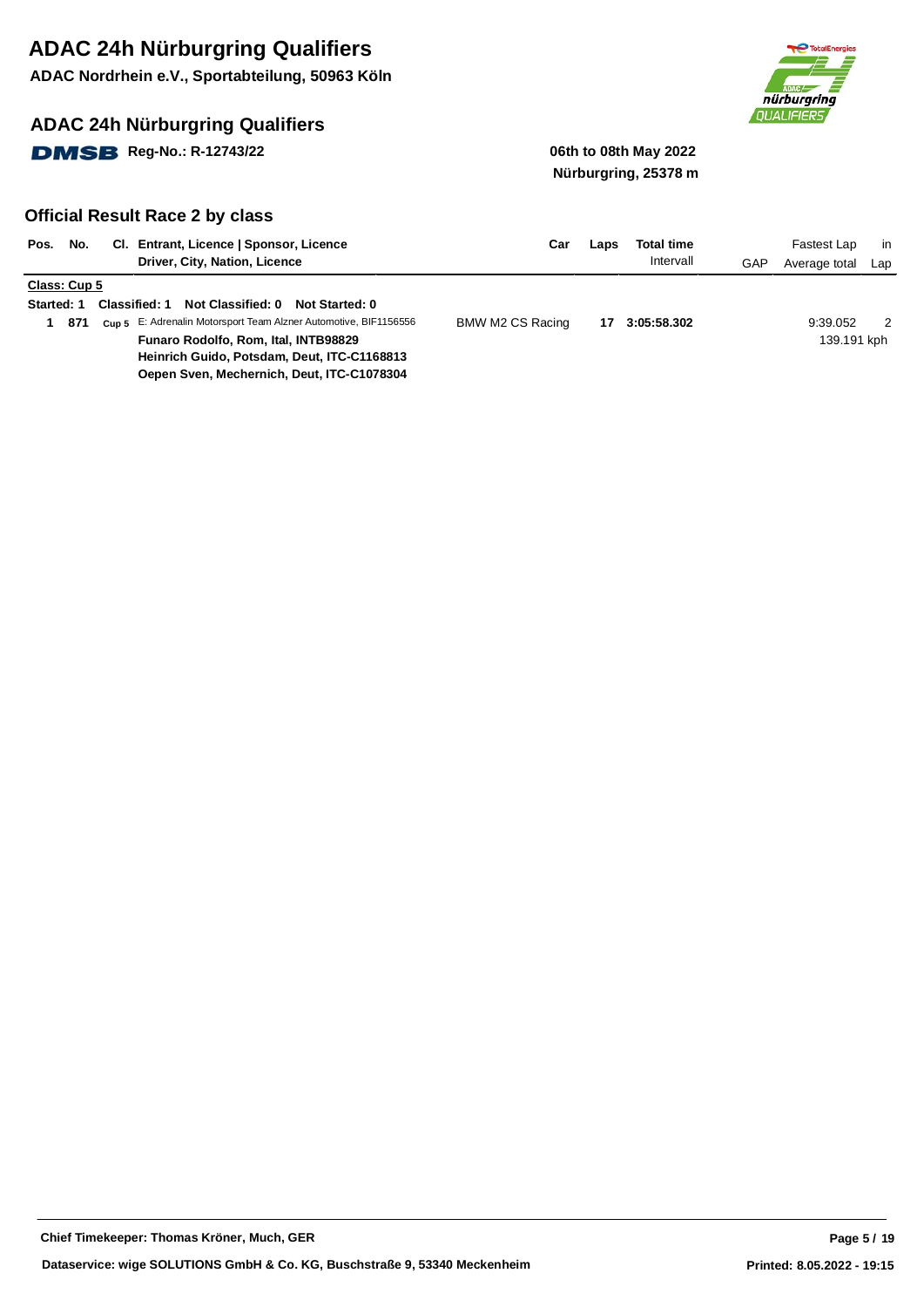**ADAC Nordrhein e.V., Sportabteilung, 50963 Köln**

### **ADAC 24h Nürburgring Qualifiers**

**DMSB** Reg-No.: R-12743/22 06th to 08th May 2022



# **Nürburgring, 25378 m**

| Pos.<br>No.                              | CI. Entrant, Licence   Sponsor, Licence<br>Driver, City, Nation, Licence                                                                                                                                                                                             | Car              | Laps | <b>Total time</b><br>Intervall | GAP | Fastest Lap<br>Average total | -in<br>Lap |
|------------------------------------------|----------------------------------------------------------------------------------------------------------------------------------------------------------------------------------------------------------------------------------------------------------------------|------------------|------|--------------------------------|-----|------------------------------|------------|
| Class: Cup 5<br><b>Started: 1</b><br>871 | Not Classified: 0<br><b>Classified: 1</b><br>Not Started: 0<br>Cup 5 E: Adrenalin Motorsport Team Alzner Automotive, BIF1156556<br>Funaro Rodolfo, Rom, Ital, INTB98829<br>Heinrich Guido, Potsdam, Deut, ITC-C1168813<br>Oepen Sven, Mechernich, Deut, ITC-C1078304 | BMW M2 CS Racing | 17   | 3:05:58.302                    |     | 9:39.052<br>139.191 kph      | 2          |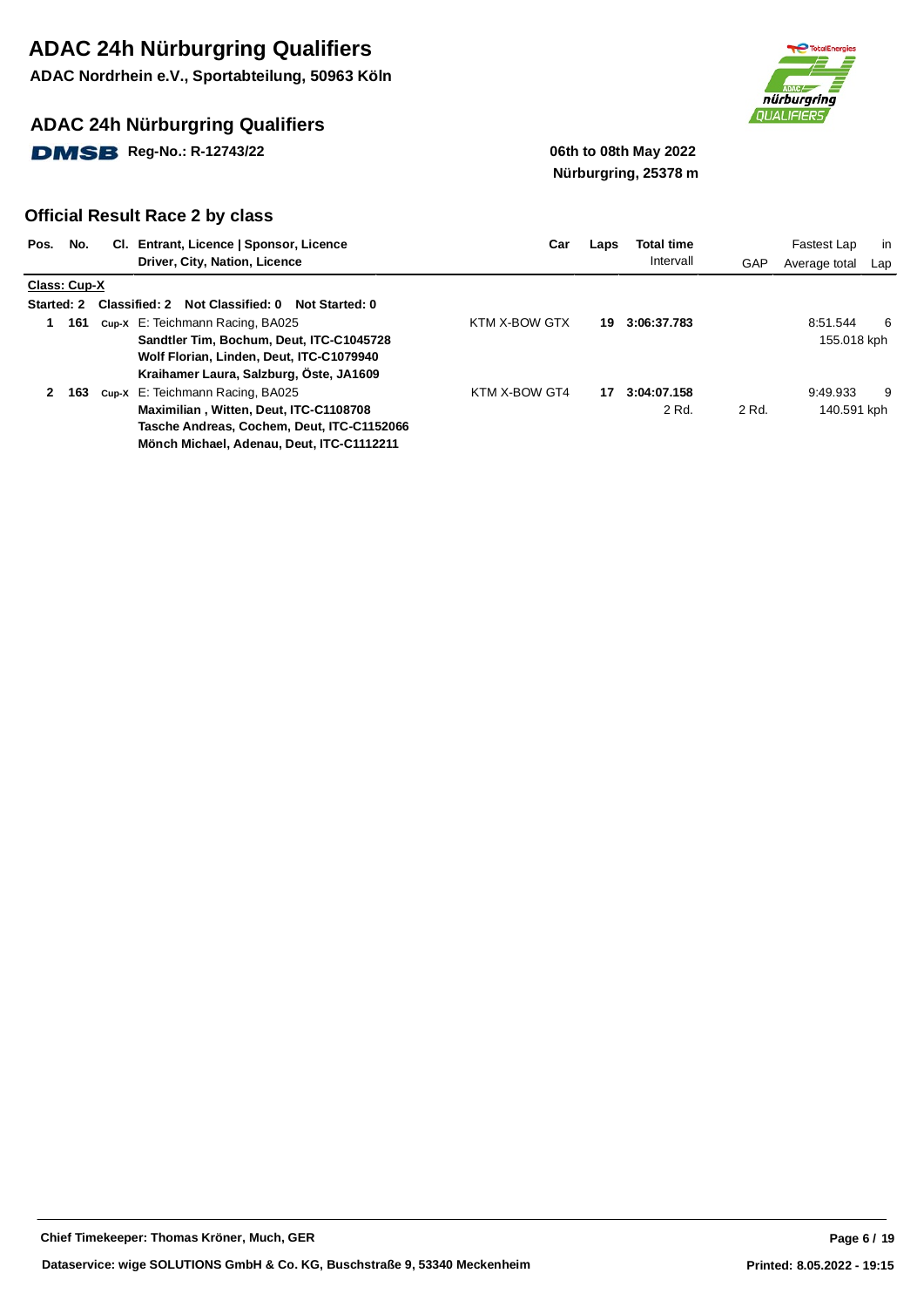**ADAC Nordrhein e.V., Sportabteilung, 50963 Köln**

### **ADAC 24h Nürburgring Qualifiers**

**DMSB** Reg-No.: R-12743/22 06th to 08th May 2022



# **Nürburgring, 25378 m**

| Pos.<br>No.       | CI. Entrant, Licence   Sponsor, Licence<br>Driver, City, Nation, Licence                                                                                              | Car           | Laps | <b>Total time</b><br>Intervall | GAP   | Fastest Lap<br>Average total | in<br>Lap |
|-------------------|-----------------------------------------------------------------------------------------------------------------------------------------------------------------------|---------------|------|--------------------------------|-------|------------------------------|-----------|
| Class: Cup-X      |                                                                                                                                                                       |               |      |                                |       |                              |           |
| <b>Started: 2</b> | Classified: 2 Not Classified: 0<br>Not Started: 0                                                                                                                     |               |      |                                |       |                              |           |
| 161<br>1.         | Cup-X E: Teichmann Racing, BA025<br>Sandtler Tim. Bochum. Deut. ITC-C1045728<br>Wolf Florian, Linden, Deut, ITC-C1079940<br>Kraihamer Laura, Salzburg, Öste, JA1609   | KTM X-BOW GTX | 19.  | 3:06:37.783                    |       | 8:51.544<br>155.018 kph      | -6        |
| 163               | Cup-X E: Teichmann Racing, BA025<br>Maximilian, Witten, Deut, ITC-C1108708<br>Tasche Andreas, Cochem, Deut, ITC-C1152066<br>Mönch Michael, Adenau, Deut, ITC-C1112211 | KTM X-BOW GT4 | 17   | 3:04:07.158<br>2 Rd.           | 2 Rd. | 9:49.933<br>140.591 kph      | 9         |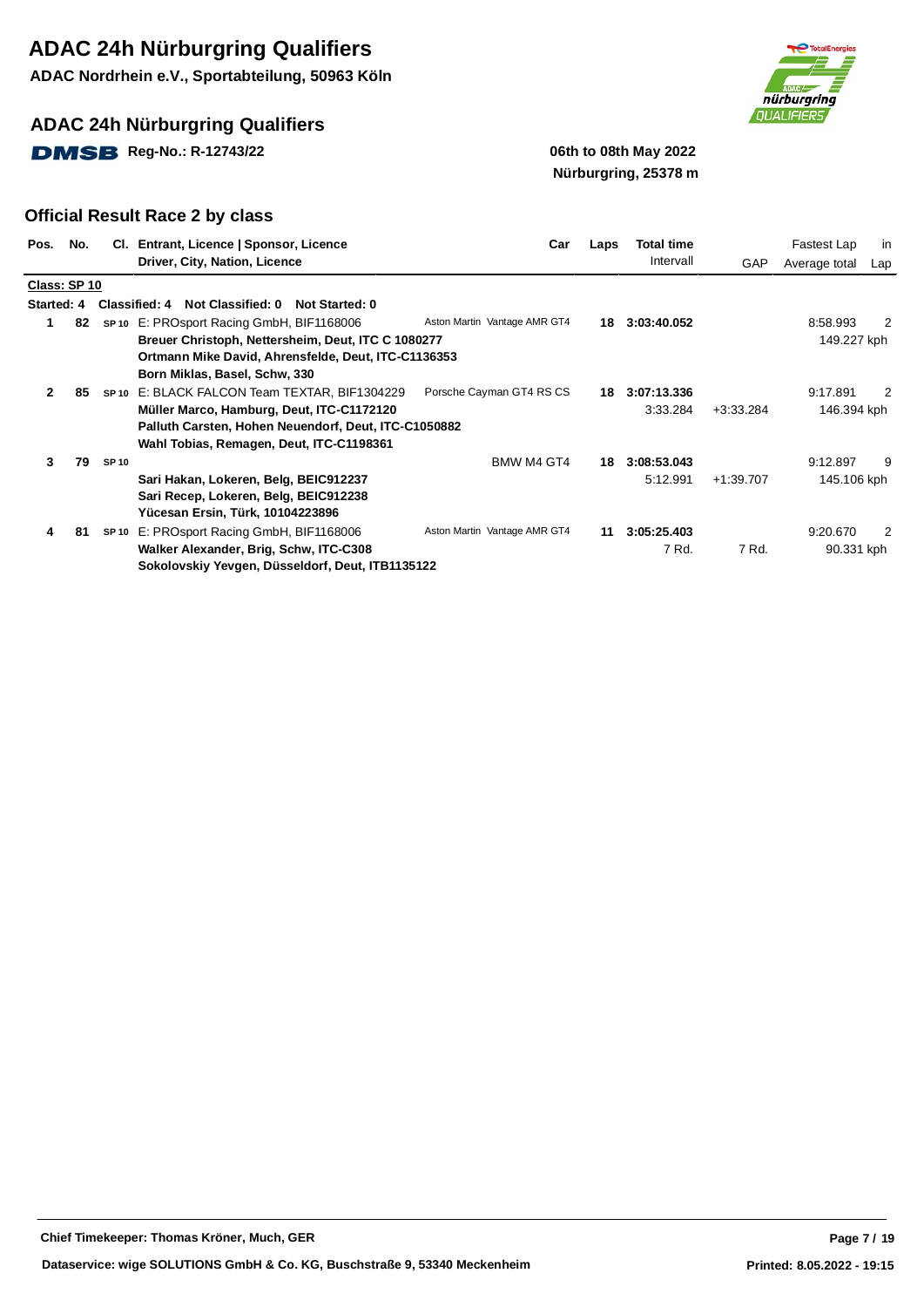**ADAC Nordrhein e.V., Sportabteilung, 50963 Köln**

### **ADAC 24h Nürburgring Qualifiers**

**DMSB** Reg-No.: R-12743/22 06th to 08th May 2022



# **Nürburgring, 25378 m**

| Pos.         | No. |             | Cl. Entrant, Licence   Sponsor, Licence              | Car                          | Laps | Total time  |             | Fastest Lap   | in  |
|--------------|-----|-------------|------------------------------------------------------|------------------------------|------|-------------|-------------|---------------|-----|
|              |     |             | Driver, City, Nation, Licence                        |                              |      | Intervall   | GAP         | Average total | Lap |
| Class: SP 10 |     |             |                                                      |                              |      |             |             |               |     |
| Started: 4   |     |             | Classified: 4 Not Classified: 0 Not Started: 0       |                              |      |             |             |               |     |
| 1.           | 82  |             | SP <sub>10</sub> E: PROsport Racing GmbH, BIF1168006 | Aston Martin Vantage AMR GT4 | 18.  | 3:03:40.052 |             | 8:58.993      | 2   |
|              |     |             | Breuer Christoph, Nettersheim, Deut, ITC C 1080277   |                              |      |             |             | 149.227 kph   |     |
|              |     |             | Ortmann Mike David, Ahrensfelde, Deut, ITC-C1136353  |                              |      |             |             |               |     |
|              |     |             | Born Miklas, Basel, Schw, 330                        |                              |      |             |             |               |     |
| 2            | 85  |             | SP10 E: BLACK FALCON Team TEXTAR, BIF1304229         | Porsche Cayman GT4 RS CS     | 18   | 3:07:13.336 |             | 9:17.891      | 2   |
|              |     |             | Müller Marco, Hamburg, Deut, ITC-C1172120            |                              |      | 3:33.284    | $+3:33.284$ | 146.394 kph   |     |
|              |     |             | Palluth Carsten, Hohen Neuendorf, Deut, ITC-C1050882 |                              |      |             |             |               |     |
|              |     |             | Wahl Tobias, Remagen, Deut, ITC-C1198361             |                              |      |             |             |               |     |
| 3            | 79  | <b>SP10</b> |                                                      | BMW M4 GT4                   | 18   | 3:08:53.043 |             | 9:12.897      | 9   |
|              |     |             | Sari Hakan, Lokeren, Belg, BEIC912237                |                              |      | 5:12.991    | $+1:39.707$ | 145.106 kph   |     |
|              |     |             | Sari Recep, Lokeren, Belg, BEIC912238                |                              |      |             |             |               |     |
|              |     |             | Yücesan Ersin, Türk, 10104223896                     |                              |      |             |             |               |     |
| 4            | 81  |             | SP 10 E: PROsport Racing GmbH, BIF1168006            | Aston Martin Vantage AMR GT4 | 11   | 3:05:25.403 |             | 9:20.670      | 2   |
|              |     |             | Walker Alexander, Brig, Schw, ITC-C308               |                              |      | 7 Rd.       | 7 Rd.       | 90.331 kph    |     |
|              |     |             | Sokolovskiy Yevgen, Düsseldorf, Deut, ITB1135122     |                              |      |             |             |               |     |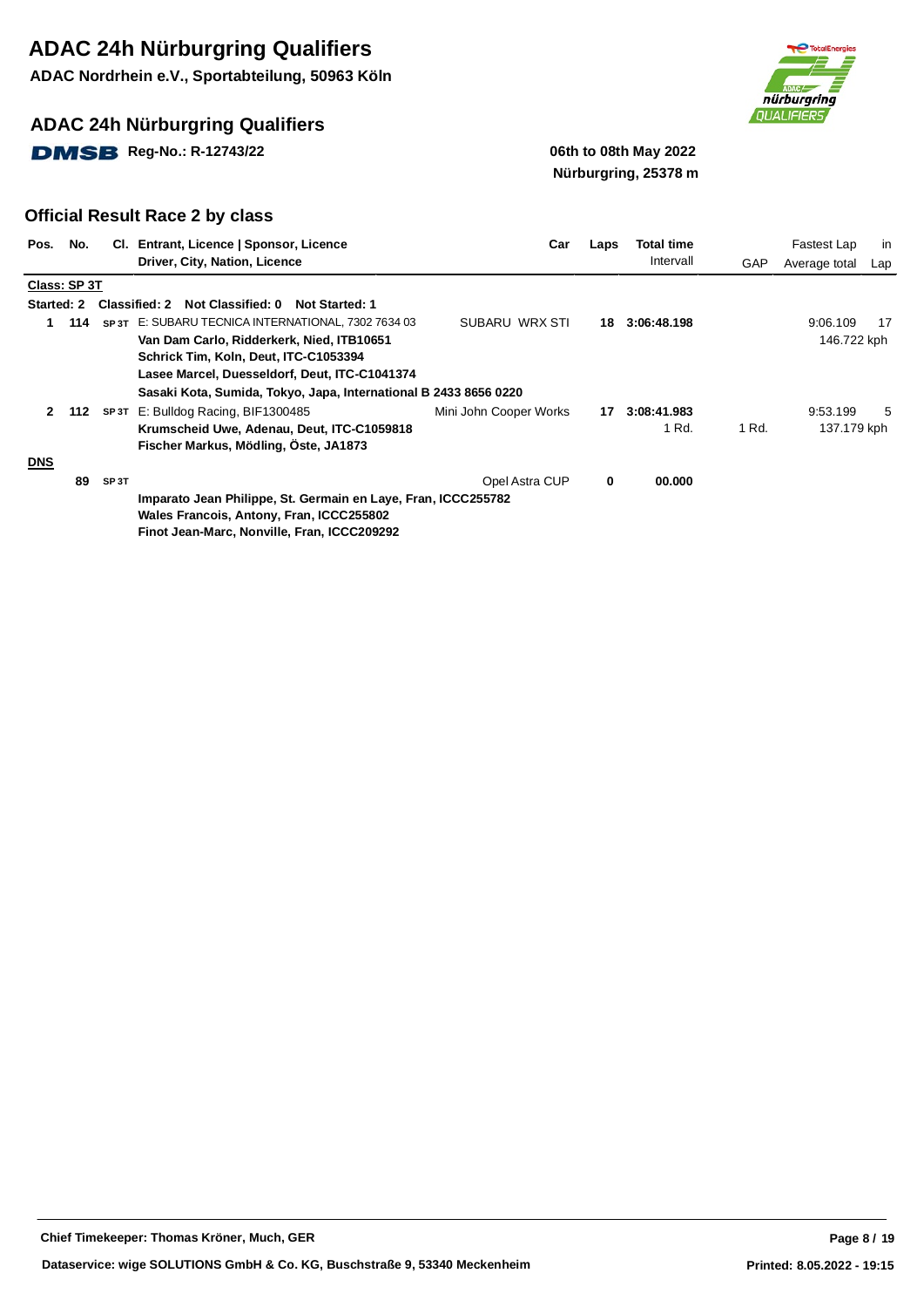**ADAC Nordrhein e.V., Sportabteilung, 50963 Köln**

### **ADAC 24h Nürburgring Qualifiers**

**DMSB** Reg-No.: R-12743/22 06th to 08th May 2022



# **Nürburgring, 25378 m**

| Pos.              | No.          |                   | CI. Entrant, Licence   Sponsor, Licence                          | Car                    | Laps | <b>Total time</b> |       | Fastest Lap   | in  |
|-------------------|--------------|-------------------|------------------------------------------------------------------|------------------------|------|-------------------|-------|---------------|-----|
|                   |              |                   | Driver, City, Nation, Licence                                    |                        |      | Intervall         | GAP   | Average total | Lap |
|                   | Class: SP 3T |                   |                                                                  |                        |      |                   |       |               |     |
| <b>Started: 2</b> |              |                   | Classified: 2 Not Classified: 0<br><b>Not Started: 1</b>         |                        |      |                   |       |               |     |
|                   | 114          |                   | SP 3T E: SUBARU TECNICA INTERNATIONAL, 7302 7634 03              | SUBARU WRX STI         | 18   | 3:06:48.198       |       | 9:06.109      | 17  |
|                   |              |                   | Van Dam Carlo, Ridderkerk, Nied, ITB10651                        |                        |      |                   |       | 146.722 kph   |     |
|                   |              |                   | Schrick Tim, Koln, Deut, ITC-C1053394                            |                        |      |                   |       |               |     |
|                   |              |                   | Lasee Marcel, Duesseldorf, Deut, ITC-C1041374                    |                        |      |                   |       |               |     |
|                   |              |                   | Sasaki Kota, Sumida, Tokyo, Japa, International B 2433 8656 0220 |                        |      |                   |       |               |     |
| $\mathbf{2}$      | 112          | SP 3T             | E: Bulldog Racing, BIF1300485                                    | Mini John Cooper Works | 17   | 3:08:41.983       |       | 9:53.199      | 5   |
|                   |              |                   | Krumscheid Uwe, Adenau, Deut, ITC-C1059818                       |                        |      | 1 Rd.             | 1 Rd. | 137.179 kph   |     |
|                   |              |                   | Fischer Markus, Mödling, Öste, JA1873                            |                        |      |                   |       |               |     |
| <b>DNS</b>        |              |                   |                                                                  |                        |      |                   |       |               |     |
|                   | 89           | SP <sub>3</sub> T |                                                                  | Opel Astra CUP         | 0    | 00.000            |       |               |     |
|                   |              |                   | Imparato Jean Philippe, St. Germain en Laye, Fran, ICCC255782    |                        |      |                   |       |               |     |
|                   |              |                   | Wales Francois, Antony, Fran, ICCC255802                         |                        |      |                   |       |               |     |
|                   |              |                   | Finot Jean-Marc, Nonville, Fran, ICCC209292                      |                        |      |                   |       |               |     |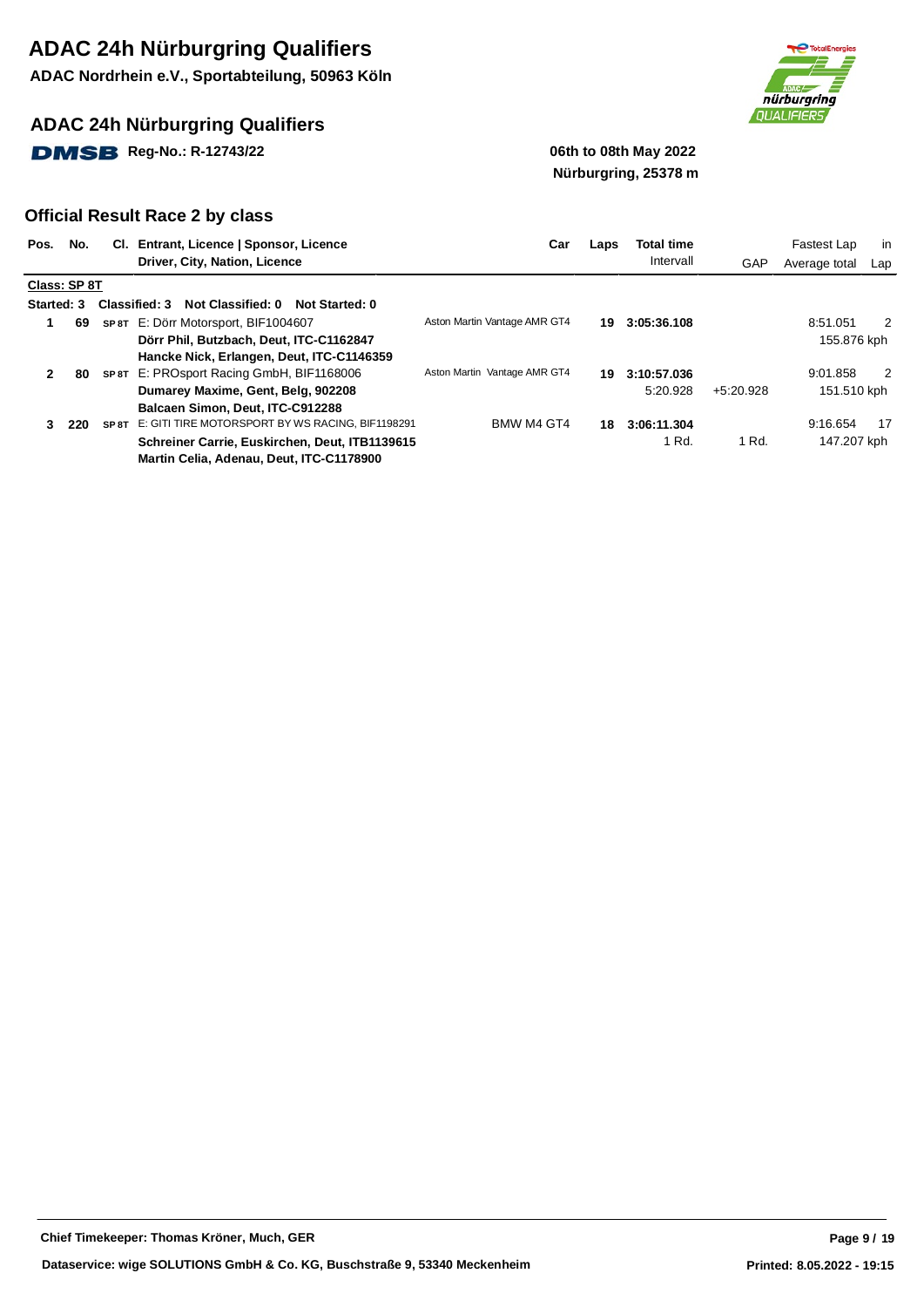**ADAC Nordrhein e.V., Sportabteilung, 50963 Köln**

### **ADAC 24h Nürburgring Qualifiers**

**DMSB** Reg-No.: R-12743/22 **12.1399 12.14 12.14 12.14 12.14 12.14 12.14 12.14 12.14 12.14 12.14 12.14 12.14 12.14 12.14 12.14 12.14 12.14 12.14 12.14 12.14 12.14 12.14 12.14 12.14 12.14 12.14 12.14 12.14 12.14 12.14 12.14** 



# **Nürburgring, 25378 m**

| Pos.       | No.          |       | CI. Entrant, Licence   Sponsor, Licence<br>Driver, City, Nation, Licence                   | Car                          | Laps | <b>Total time</b><br>Intervall | GAP         | Fastest Lap<br>Average total | in<br>Lap |
|------------|--------------|-------|--------------------------------------------------------------------------------------------|------------------------------|------|--------------------------------|-------------|------------------------------|-----------|
|            | Class: SP 8T |       |                                                                                            |                              |      |                                |             |                              |           |
| Started: 3 |              |       | Classified: 3<br>Not Classified: 0<br>Not Started: 0                                       |                              |      |                                |             |                              |           |
|            | 69           |       | SP 8T E: Dörr Motorsport, BIF1004607                                                       | Aston Martin Vantage AMR GT4 | 19.  | 3:05:36.108                    |             | 8:51.051                     | 2         |
|            |              |       | Dörr Phil, Butzbach, Deut, ITC-C1162847                                                    |                              |      |                                |             | 155.876 kph                  |           |
|            |              |       | Hancke Nick, Erlangen, Deut, ITC-C1146359                                                  |                              |      |                                |             |                              |           |
| 2          | 80           |       | SP 8T E: PROsport Racing GmbH, BIF1168006                                                  | Aston Martin Vantage AMR GT4 | 19   | 3:10:57.036                    |             | 9:01.858                     | 2         |
|            |              |       | Dumarey Maxime, Gent, Belg, 902208                                                         |                              |      | 5:20.928                       | $+5:20.928$ | 151.510 kph                  |           |
|            |              |       | Balcaen Simon, Deut, ITC-C912288                                                           |                              |      |                                |             |                              |           |
| 3          | 220          | SP 8T | E: GITI TIRE MOTORSPORT BY WS RACING, BIF1198291                                           | BMW M4 GT4                   | 18.  | 3:06:11.304                    |             | 9:16.654                     | 17        |
|            |              |       | Schreiner Carrie, Euskirchen, Deut, ITB1139615<br>Martin Celia, Adenau, Deut, ITC-C1178900 |                              |      | 1 Rd.                          | 1 Rd.       | 147.207 kph                  |           |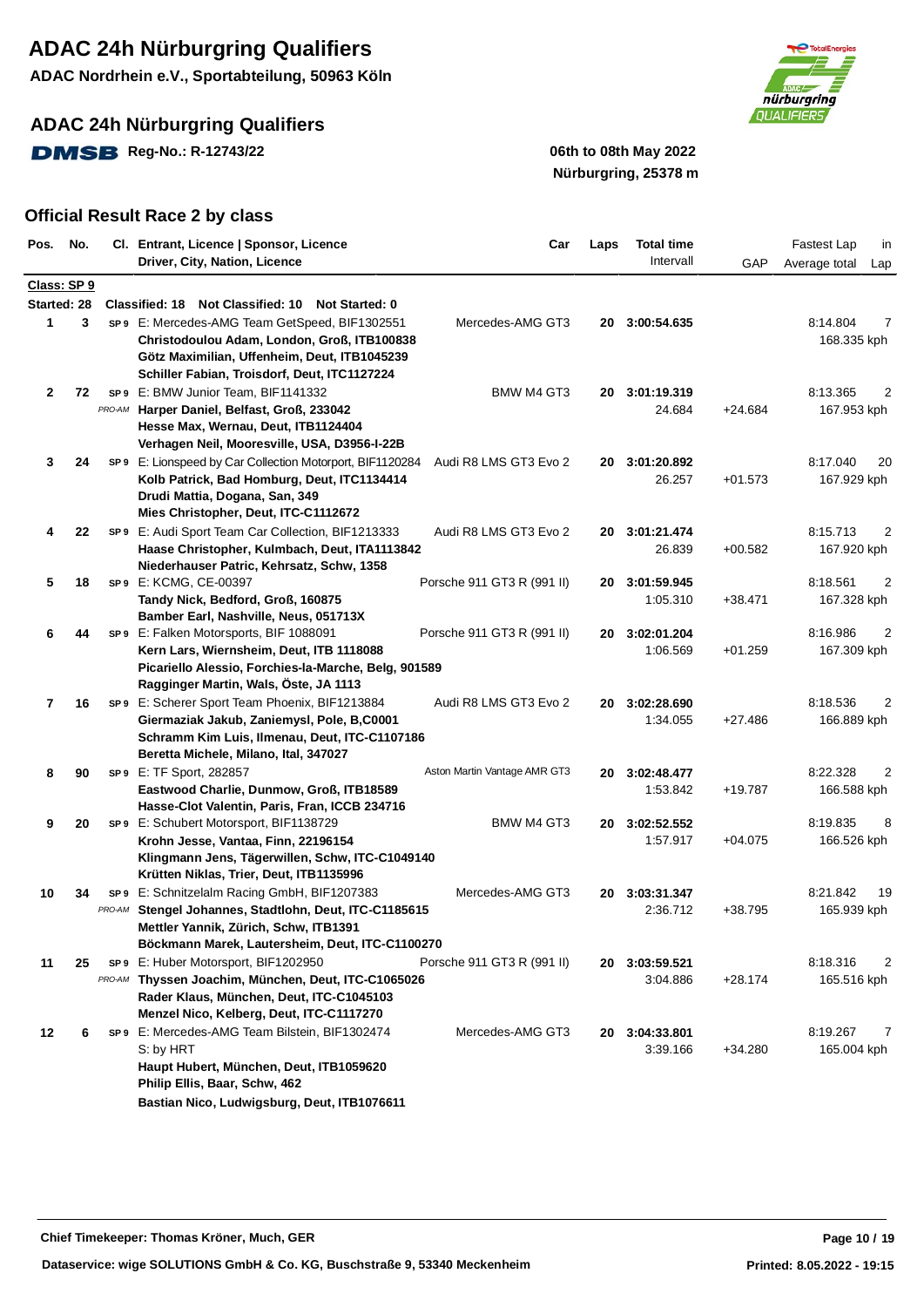**ADAC Nordrhein e.V., Sportabteilung, 50963 Köln**

### **ADAC 24h Nürburgring Qualifiers**

**DMSB** Reg-No.: R-12743/22 **19.12 19.13 19.14 19.14 19.14 19.14 19.14 19.14 19.14 19.14 19.14 19.14 19.14 19.14 19.14 19.14 19.14 19.14 19.14 19.14 19.14 19.14 19.14 19.14 19.14 19.14 19.14 19.14 19.14 19.14 19.14 19.14 19** 



# **Nürburgring, 25378 m**

| Pos.           | No. |                 | Cl. Entrant, Licence   Sponsor, Licence                                        | Car                          | Laps | <b>Total time</b> |           | Fastest Lap<br>in    |
|----------------|-----|-----------------|--------------------------------------------------------------------------------|------------------------------|------|-------------------|-----------|----------------------|
|                |     |                 | Driver, City, Nation, Licence                                                  |                              |      | Intervall         | GAP       | Average total<br>Lap |
| Class: SP 9    |     |                 |                                                                                |                              |      |                   |           |                      |
| Started: 28    |     |                 | <b>Classified: 18</b><br><b>Not Classified: 10</b><br><b>Not Started: 0</b>    |                              |      |                   |           |                      |
| $\mathbf{1}$   | 3   |                 | sp 9 E: Mercedes-AMG Team GetSpeed, BIF1302551                                 | Mercedes-AMG GT3             |      | 20 3:00:54.635    |           | 8:14.804<br>7        |
|                |     |                 | Christodoulou Adam, London, Groß, ITB100838                                    |                              |      |                   |           | 168.335 kph          |
|                |     |                 | Götz Maximilian, Uffenheim, Deut, ITB1045239                                   |                              |      |                   |           |                      |
|                |     |                 | Schiller Fabian, Troisdorf, Deut, ITC1127224                                   |                              |      |                   |           |                      |
| $\mathbf{2}$   | 72  |                 | SP9 E: BMW Junior Team, BIF1141332                                             | BMW M4 GT3                   |      | 20 3:01:19.319    |           | 8:13.365<br>2        |
|                |     | PRO-AM          | Harper Daniel, Belfast, Groß, 233042                                           |                              |      | 24.684            | $+24.684$ | 167.953 kph          |
|                |     |                 | Hesse Max, Wernau, Deut, ITB1124404                                            |                              |      |                   |           |                      |
|                |     |                 | Verhagen Neil, Mooresville, USA, D3956-I-22B                                   |                              |      |                   |           |                      |
| 3              | 24  |                 | SP9 E: Lionspeed by Car Collection Motorport, BIF1120284 Audi R8 LMS GT3 Evo 2 |                              | 20   | 3:01:20.892       |           | 8:17.040<br>20       |
|                |     |                 | Kolb Patrick, Bad Homburg, Deut, ITC1134414                                    |                              |      | 26.257            | $+01.573$ | 167.929 kph          |
|                |     |                 | Drudi Mattia, Dogana, San, 349                                                 |                              |      |                   |           |                      |
|                |     |                 | Mies Christopher, Deut, ITC-C1112672                                           |                              |      |                   |           |                      |
| 4              | 22  |                 | SP9 E: Audi Sport Team Car Collection, BIF1213333                              | Audi R8 LMS GT3 Evo 2        | 20   | 3:01:21.474       |           | 8:15.713<br>2        |
|                |     |                 | Haase Christopher, Kulmbach, Deut, ITA1113842                                  |                              |      | 26.839            | $+00.582$ | 167.920 kph          |
|                |     |                 | Niederhauser Patric, Kehrsatz, Schw, 1358                                      |                              |      |                   |           |                      |
| 5              | 18  |                 | SP9 E: KCMG, CE-00397                                                          | Porsche 911 GT3 R (991 II)   | 20   | 3:01:59.945       |           | 2<br>8:18.561        |
|                |     |                 | Tandy Nick, Bedford, Groß, 160875                                              |                              |      | 1:05.310          | $+38.471$ | 167.328 kph          |
|                |     |                 | Bamber Earl, Nashville, Neus, 051713X                                          |                              |      |                   |           |                      |
| 6              | 44  |                 | SP9 E: Falken Motorsports, BIF 1088091                                         | Porsche 911 GT3 R (991 II)   | 20   | 3:02:01.204       |           | 2<br>8:16.986        |
|                |     |                 | Kern Lars, Wiernsheim, Deut, ITB 1118088                                       |                              |      | 1:06.569          | $+01.259$ | 167.309 kph          |
|                |     |                 | Picariello Alessio, Forchies-la-Marche, Belg, 901589                           |                              |      |                   |           |                      |
|                |     |                 | Ragginger Martin, Wals, Öste, JA 1113                                          |                              |      |                   |           |                      |
| $\overline{7}$ | 16  |                 | SP9 E: Scherer Sport Team Phoenix, BIF1213884                                  | Audi R8 LMS GT3 Evo 2        | 20   | 3:02:28.690       |           | 2<br>8:18.536        |
|                |     |                 | Giermaziak Jakub, Zaniemysl, Pole, B,C0001                                     |                              |      | 1:34.055          | $+27.486$ | 166.889 kph          |
|                |     |                 | Schramm Kim Luis, Ilmenau, Deut, ITC-C1107186                                  |                              |      |                   |           |                      |
|                |     |                 | Beretta Michele, Milano, Ital, 347027                                          |                              |      |                   |           |                      |
| 8              | 90  |                 | SP9 E: TF Sport, 282857                                                        | Aston Martin Vantage AMR GT3 | 20   | 3:02:48.477       |           | 2<br>8:22.328        |
|                |     |                 | Eastwood Charlie, Dunmow, Groß, ITB18589                                       |                              |      | 1:53.842          | $+19.787$ | 166.588 kph          |
|                |     |                 | Hasse-Clot Valentin, Paris, Fran, ICCB 234716                                  |                              |      |                   |           |                      |
| 9              | 20  |                 | SP9 E: Schubert Motorsport, BIF1138729                                         | BMW M4 GT3                   | 20   | 3:02:52.552       |           | 8:19.835<br>8        |
|                |     |                 | Krohn Jesse, Vantaa, Finn, 22196154                                            |                              |      | 1:57.917          | $+04.075$ | 166.526 kph          |
|                |     |                 | Klingmann Jens, Tägerwillen, Schw, ITC-C1049140                                |                              |      |                   |           |                      |
|                |     |                 | Krütten Niklas, Trier, Deut, ITB1135996                                        |                              |      |                   |           |                      |
| 10             | 34  | SP 9            | E: Schnitzelalm Racing GmbH, BIF1207383                                        | Mercedes-AMG GT3             |      | 20 3:03:31.347    |           | 8:21.842<br>19       |
|                |     | PRO-AM          | Stengel Johannes, Stadtlohn, Deut, ITC-C1185615                                |                              |      | 2:36.712          | +38.795   | 165.939 kph          |
|                |     |                 | Mettler Yannik, Zürich, Schw, ITB1391                                          |                              |      |                   |           |                      |
|                |     |                 | Böckmann Marek, Lautersheim, Deut, ITC-C1100270                                |                              |      |                   |           |                      |
| 11             | 25  | SP <sub>9</sub> | E: Huber Motorsport, BIF1202950                                                | Porsche 911 GT3 R (991 II)   | 20   | 3:03:59.521       |           | 8:18.316<br>2        |
|                |     | PRO-AM          | Thyssen Joachim, München, Deut, ITC-C1065026                                   |                              |      | 3:04.886          | $+28.174$ | 165.516 kph          |
|                |     |                 | Rader Klaus, München, Deut, ITC-C1045103                                       |                              |      |                   |           |                      |
|                |     |                 | Menzel Nico, Kelberg, Deut, ITC-C1117270                                       |                              |      |                   |           |                      |
| 12             | 6   |                 | SP9 E: Mercedes-AMG Team Bilstein, BIF1302474                                  | Mercedes-AMG GT3             |      | 20 3:04:33.801    |           | 8:19.267<br>7        |
|                |     |                 | S: by HRT                                                                      |                              |      | 3:39.166          | $+34.280$ | 165.004 kph          |
|                |     |                 | Haupt Hubert, München, Deut, ITB1059620                                        |                              |      |                   |           |                      |
|                |     |                 | Philip Ellis, Baar, Schw, 462                                                  |                              |      |                   |           |                      |
|                |     |                 | Bastian Nico, Ludwigsburg, Deut, ITB1076611                                    |                              |      |                   |           |                      |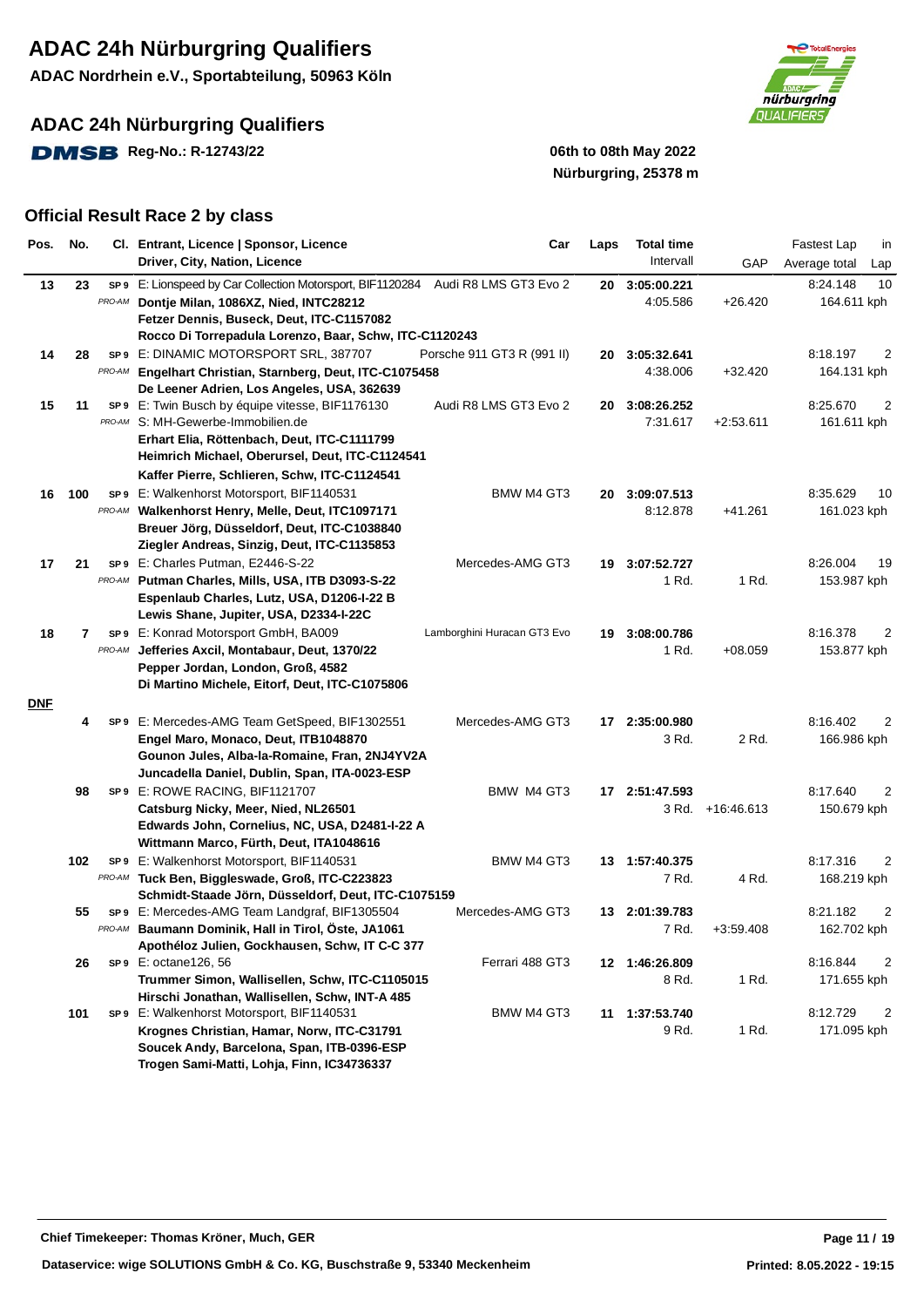**ADAC Nordrhein e.V., Sportabteilung, 50963 Köln**

**ADAC 24h Nürburgring Qualifiers**

**DMSB** Reg-No.: R-12743/22 06th to 08th May 2022



# **Nürburgring, 25378 m**

| Pos.       | No. |                | Cl. Entrant, Licence   Sponsor, Licence<br>Driver, City, Nation, Licence                                             | Car                         | Laps | <b>Total time</b><br>Intervall | GAP         | Fastest Lap<br>in<br>Average total<br>Lap |
|------------|-----|----------------|----------------------------------------------------------------------------------------------------------------------|-----------------------------|------|--------------------------------|-------------|-------------------------------------------|
| 13         | 23  | SP 9<br>PRO-AM | E: Lionspeed by Car Collection Motorsport, BIF1120284 Audi R8 LMS GT3 Evo 2<br>Dontje Milan, 1086XZ, Nied, INTC28212 |                             | 20   | 3:05:00.221<br>4:05.586        | $+26.420$   | 10<br>8:24.148<br>164.611 kph             |
|            |     |                | Fetzer Dennis, Buseck, Deut, ITC-C1157082                                                                            |                             |      |                                |             |                                           |
|            |     |                | Rocco Di Torrepadula Lorenzo, Baar, Schw, ITC-C1120243                                                               |                             |      |                                |             |                                           |
| 14         | 28  |                | SP9 E: DINAMIC MOTORSPORT SRL, 387707                                                                                | Porsche 911 GT3 R (991 II)  | 20   | 3:05:32.641                    |             | 8:18.197<br>2                             |
|            |     | PRO-AM         | Engelhart Christian, Starnberg, Deut, ITC-C1075458                                                                   |                             |      | 4:38.006                       | $+32.420$   | 164.131 kph                               |
|            |     |                | De Leener Adrien, Los Angeles, USA, 362639                                                                           |                             |      |                                |             |                                           |
| 15         | 11  |                | SP9 E: Twin Busch by équipe vitesse, BIF1176130                                                                      | Audi R8 LMS GT3 Evo 2       | 20   | 3:08:26.252                    |             | 8:25.670<br>2                             |
|            |     | PRO-AM         | S: MH-Gewerbe-Immobilien.de                                                                                          |                             |      | 7:31.617                       | $+2:53.611$ | 161.611 kph                               |
|            |     |                | Erhart Elia, Röttenbach, Deut, ITC-C1111799<br>Heimrich Michael, Oberursel, Deut, ITC-C1124541                       |                             |      |                                |             |                                           |
|            |     |                | Kaffer Pierre, Schlieren, Schw, ITC-C1124541                                                                         |                             |      |                                |             |                                           |
| 16         | 100 |                | <b>SP9</b> E: Walkenhorst Motorsport, BIF1140531                                                                     | BMW M4 GT3                  | 20   | 3:09:07.513                    |             | 8:35.629<br>10                            |
|            |     | PRO-AM         | Walkenhorst Henry, Melle, Deut, ITC1097171                                                                           |                             |      | 8:12.878                       | +41.261     | 161.023 kph                               |
|            |     |                | Breuer Jörg, Düsseldorf, Deut, ITC-C1038840                                                                          |                             |      |                                |             |                                           |
|            |     |                | Ziegler Andreas, Sinzig, Deut, ITC-C1135853                                                                          |                             |      |                                |             |                                           |
| 17         | 21  |                | SP9 E: Charles Putman, E2446-S-22                                                                                    | Mercedes-AMG GT3            |      | 19 3:07:52.727                 |             | 8:26.004<br>19                            |
|            |     | PRO-AM         | Putman Charles, Mills, USA, ITB D3093-S-22                                                                           |                             |      | 1 Rd.                          | 1 Rd.       | 153.987 kph                               |
|            |     |                | Espenlaub Charles, Lutz, USA, D1206-I-22 B                                                                           |                             |      |                                |             |                                           |
|            |     |                | Lewis Shane, Jupiter, USA, D2334-I-22C                                                                               |                             |      |                                |             |                                           |
| 18         | 7   |                | SP9 E: Konrad Motorsport GmbH, BA009                                                                                 | Lamborghini Huracan GT3 Evo |      | 19 3:08:00.786                 |             | 8:16.378<br>2                             |
|            |     | PRO-AM         | Jefferies Axcil, Montabaur, Deut, 1370/22                                                                            |                             |      | 1 Rd.                          | $+08.059$   | 153.877 kph                               |
|            |     |                | Pepper Jordan, London, Groß, 4582                                                                                    |                             |      |                                |             |                                           |
|            |     |                | Di Martino Michele, Eitorf, Deut, ITC-C1075806                                                                       |                             |      |                                |             |                                           |
| <b>DNF</b> |     |                |                                                                                                                      |                             |      |                                |             |                                           |
|            | 4   |                | SP9 E: Mercedes-AMG Team GetSpeed, BIF1302551                                                                        | Mercedes-AMG GT3            |      | 17 2:35:00.980                 |             | 8:16.402<br>2                             |
|            |     |                | Engel Maro, Monaco, Deut, ITB1048870                                                                                 |                             |      | 3 Rd.                          | 2 Rd.       | 166.986 kph                               |
|            |     |                | Gounon Jules, Alba-la-Romaine, Fran, 2NJ4YV2A                                                                        |                             |      |                                |             |                                           |
|            |     |                | Juncadella Daniel, Dublin, Span, ITA-0023-ESP                                                                        |                             |      |                                |             |                                           |
|            | 98  |                | SP9 E: ROWE RACING, BIF1121707                                                                                       | BMW M4 GT3                  |      | 17 2:51:47.593                 |             | 8:17.640<br>2                             |
|            |     |                | Catsburg Nicky, Meer, Nied, NL26501                                                                                  |                             |      | 3 Rd.                          | +16:46.613  | 150.679 kph                               |
|            |     |                | Edwards John, Cornelius, NC, USA, D2481-I-22 A                                                                       |                             |      |                                |             |                                           |
|            |     |                | Wittmann Marco, Fürth, Deut, ITA1048616                                                                              |                             |      |                                |             |                                           |
|            | 102 |                | SP9 E: Walkenhorst Motorsport, BIF1140531                                                                            | BMW M4 GT3                  |      | 13 1:57:40.375                 |             | 8:17.316<br>2                             |
|            |     |                | PRO-AM Tuck Ben, Biggleswade, Groß, ITC-C223823                                                                      |                             |      | 7 Rd.                          | 4 Rd.       | 168.219 kph                               |
|            |     |                | Schmidt-Staade Jörn, Düsseldorf, Deut, ITC-C1075159                                                                  |                             |      |                                |             |                                           |
|            | 55  |                | SP9 E: Mercedes-AMG Team Landgraf, BIF1305504                                                                        | Mercedes-AMG GT3            |      | 13 2:01:39.783                 |             | 8:21.182<br>2                             |
|            |     |                | PRO-AM Baumann Dominik, Hall in Tirol, Öste, JA1061                                                                  |                             |      | 7 Rd.                          | $+3:59.408$ | 162.702 kph                               |
|            | 26  |                | Apothéloz Julien, Gockhausen, Schw, IT C-C 377<br>SP9 E: octane126, 56                                               | Ferrari 488 GT3             | 12   | 1:46:26.809                    |             | 2<br>8:16.844                             |
|            |     |                | Trummer Simon, Wallisellen, Schw, ITC-C1105015                                                                       |                             |      | 8 Rd.                          | 1 Rd.       | 171.655 kph                               |
|            |     |                | Hirschi Jonathan, Wallisellen, Schw, INT-A 485                                                                       |                             |      |                                |             |                                           |
|            | 101 |                | SP9 E: Walkenhorst Motorsport, BIF1140531                                                                            | BMW M4 GT3                  | 11   | 1:37:53.740                    |             | 8:12.729<br>2                             |
|            |     |                | Krognes Christian, Hamar, Norw, ITC-C31791                                                                           |                             |      | 9 Rd.                          | 1 Rd.       | 171.095 kph                               |
|            |     |                | Soucek Andy, Barcelona, Span, ITB-0396-ESP                                                                           |                             |      |                                |             |                                           |
|            |     |                | Trogen Sami-Matti, Lohja, Finn, IC34736337                                                                           |                             |      |                                |             |                                           |
|            |     |                |                                                                                                                      |                             |      |                                |             |                                           |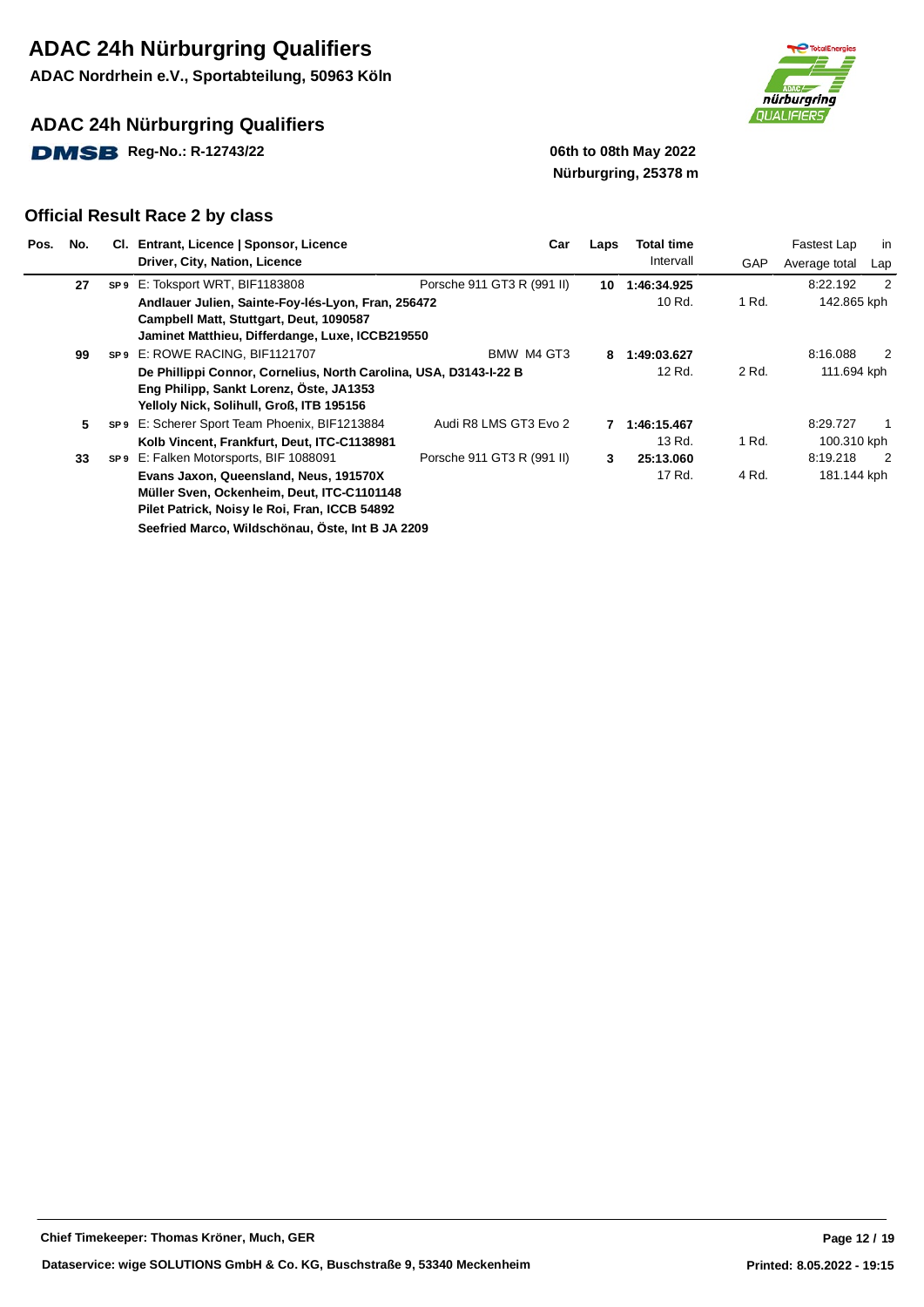**ADAC Nordrhein e.V., Sportabteilung, 50963 Köln**

### **ADAC 24h Nürburgring Qualifiers**

**DMSB** Reg-No.: R-12743/22 **19.12 19.13 19.14 19.14 19.14 19.14 19.14 19.14 19.14 19.14 19.14 19.14 19.14 19.14 19.14 19.14 19.14 19.14 19.14 19.14 19.14 19.14 19.14 19.14 19.14 19.14 19.14 19.14 19.14 19.14 19.14 19.14 19** 



# **Nürburgring, 25378 m**

| Pos. | No. | CI. Entrant, Licence   Sponsor, Licence                           | Car                        | Laps | Total time  |       | Fastest Lap   | in                         |
|------|-----|-------------------------------------------------------------------|----------------------------|------|-------------|-------|---------------|----------------------------|
|      |     | Driver, City, Nation, Licence                                     |                            |      | Intervall   | GAP   | Average total | Lap                        |
|      | 27  | SP9 E: Toksport WRT, BIF1183808                                   | Porsche 911 GT3 R (991 II) | 10   | 1:46:34.925 |       | 8:22.192      | $\overline{2}$             |
|      |     | Andlauer Julien, Sainte-Foy-lés-Lyon, Fran, 256472                |                            |      | 10 Rd.      | 1 Rd. | 142.865 kph   |                            |
|      |     | Campbell Matt, Stuttgart, Deut, 1090587                           |                            |      |             |       |               |                            |
|      |     | Jaminet Matthieu, Differdange, Luxe, ICCB219550                   |                            |      |             |       |               |                            |
|      | 99  | SP9 E: ROWE RACING, BIF1121707                                    | BMW M4 GT3                 | 8    | 1:49:03.627 |       | 8:16.088      | $\overline{2}$             |
|      |     | De Phillippi Connor, Cornelius, North Carolina, USA, D3143-I-22 B |                            |      | 12 Rd.      | 2 Rd. | 111.694 kph   |                            |
|      |     | Eng Philipp, Sankt Lorenz, Öste, JA1353                           |                            |      |             |       |               |                            |
|      |     | Yelloly Nick, Solihull, Groß, ITB 195156                          |                            |      |             |       |               |                            |
|      | 5   | SP9 E: Scherer Sport Team Phoenix, BIF1213884                     | Audi R8 LMS GT3 Evo 2      |      | 1:46:15.467 |       | 8:29.727      |                            |
|      |     | Kolb Vincent, Frankfurt, Deut, ITC-C1138981                       |                            |      | 13 Rd.      | 1 Rd. | 100.310 kph   |                            |
|      | 33  | SP9 E: Falken Motorsports, BIF 1088091                            | Porsche 911 GT3 R (991 II) | 3    | 25:13.060   |       | 8:19.218      | $\overline{\phantom{0}}^2$ |
|      |     | Evans Jaxon, Queensland, Neus, 191570X                            |                            |      | 17 Rd.      | 4 Rd. | 181.144 kph   |                            |
|      |     | Müller Sven, Ockenheim, Deut, ITC-C1101148                        |                            |      |             |       |               |                            |
|      |     | Pilet Patrick, Noisy le Roi, Fran, ICCB 54892                     |                            |      |             |       |               |                            |
|      |     | Seefried Marco, Wildschönau, Öste, Int B JA 2209                  |                            |      |             |       |               |                            |
|      |     |                                                                   |                            |      |             |       |               |                            |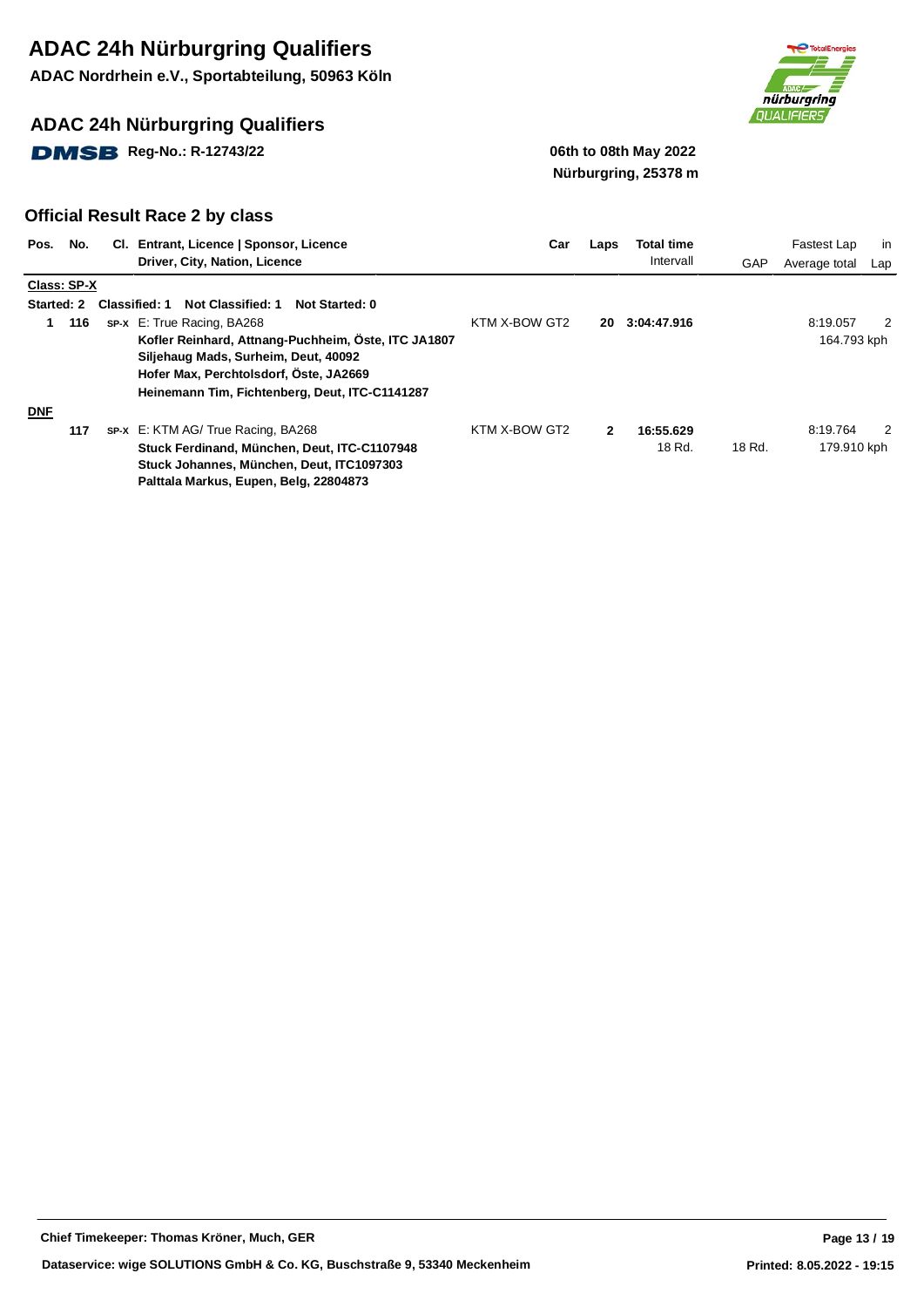**ADAC Nordrhein e.V., Sportabteilung, 50963 Köln**

### **ADAC 24h Nürburgring Qualifiers**

**DMSB** Reg-No.: R-12743/22 **19.12 19.13 19.14 19.14 19.14 19.14 19.14 19.14 19.14 19.14 19.14 19.14 19.14 19.14 19.14 19.14 19.14 19.14 19.14 19.14 19.14 19.14 19.14 19.14 19.14 19.14 19.14 19.14 19.14 19.14 19.14 19.14 19** 



# **Nürburgring, 25378 m**

| Pos.              | No.         | CI. Entrant, Licence   Sponsor, Licence              | Car           | Laps         | <b>Total time</b> |        | Fastest Lap   | in  |
|-------------------|-------------|------------------------------------------------------|---------------|--------------|-------------------|--------|---------------|-----|
|                   |             | Driver, City, Nation, Licence                        |               |              | Intervall         | GAP    | Average total | Lap |
|                   | Class: SP-X |                                                      |               |              |                   |        |               |     |
| <b>Started: 2</b> |             | Not Classified: 1<br>Classified: 1<br>Not Started: 0 |               |              |                   |        |               |     |
|                   | 116         | <b>sp-x</b> E: True Racing, BA268                    | KTM X-BOW GT2 | 20           | 3:04:47.916       |        | 8:19.057      | 2   |
|                   |             | Kofler Reinhard, Attnang-Puchheim, Öste, ITC JA1807  |               |              |                   |        | 164.793 kph   |     |
|                   |             | Siljehaug Mads, Surheim, Deut, 40092                 |               |              |                   |        |               |     |
|                   |             | Hofer Max, Perchtolsdorf, Öste, JA2669               |               |              |                   |        |               |     |
|                   |             | Heinemann Tim, Fichtenberg, Deut, ITC-C1141287       |               |              |                   |        |               |     |
| <b>DNF</b>        |             |                                                      |               |              |                   |        |               |     |
|                   | 117         | SP-X E: KTM AG/ True Racing, BA268                   | KTM X-BOW GT2 | $\mathbf{2}$ | 16:55.629         |        | 8:19.764      | 2   |
|                   |             | Stuck Ferdinand, München, Deut, ITC-C1107948         |               |              | 18 Rd.            | 18 Rd. | 179.910 kph   |     |
|                   |             | Stuck Johannes, München, Deut, ITC1097303            |               |              |                   |        |               |     |
|                   |             | Palttala Markus, Eupen, Belg, 22804873               |               |              |                   |        |               |     |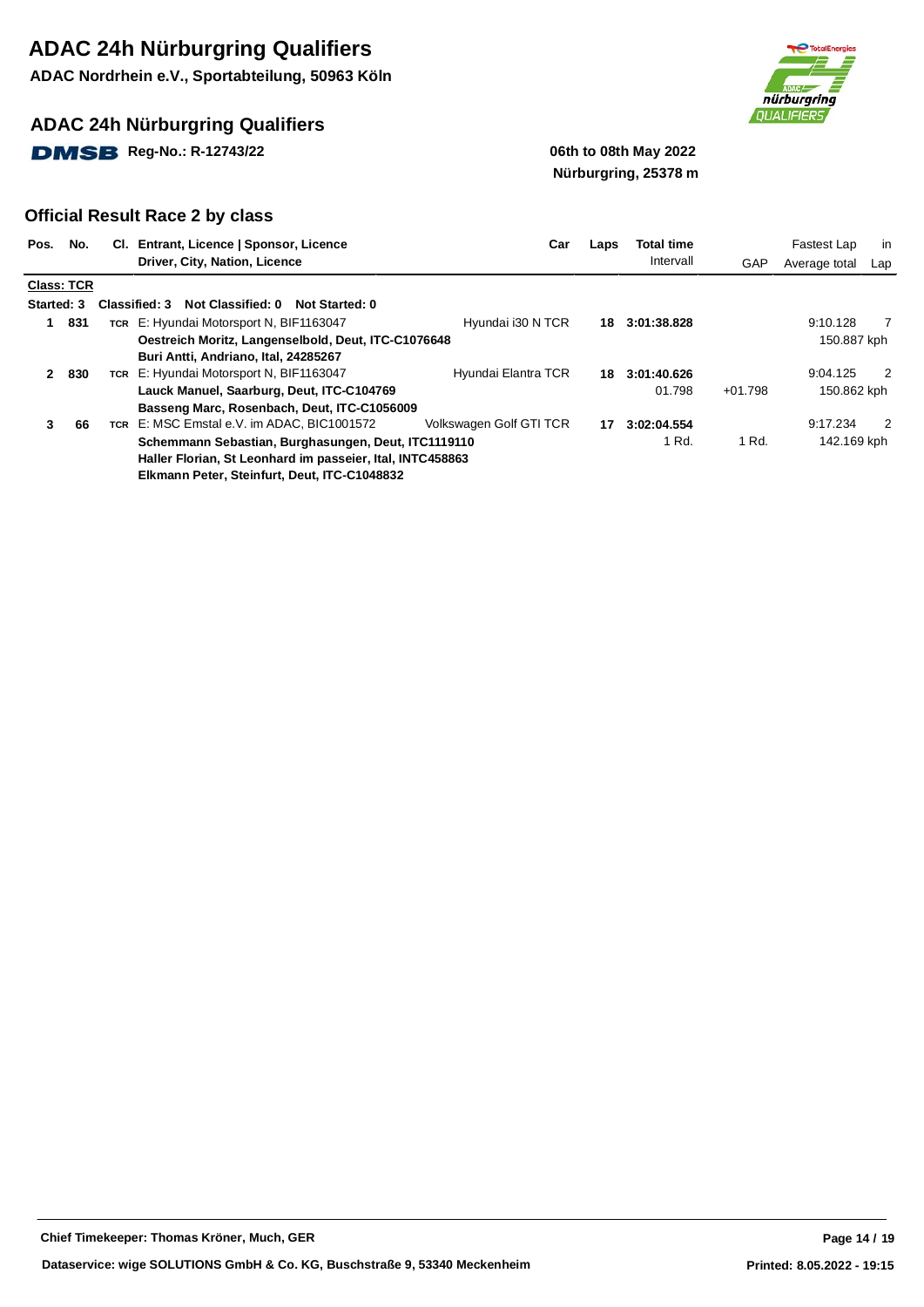**ADAC Nordrhein e.V., Sportabteilung, 50963 Köln**

### **ADAC 24h Nürburgring Qualifiers**

**DMSB** Reg-No.: R-12743/22 06th to 08th May 2022



# **Nürburgring, 25378 m**

| Pos.         | No.               | CI. Entrant, Licence   Sponsor, Licence                     | Car                     | Laps | Total time  |           | Fastest Lap   | in             |
|--------------|-------------------|-------------------------------------------------------------|-------------------------|------|-------------|-----------|---------------|----------------|
|              |                   | Driver, City, Nation, Licence                               |                         |      | Intervall   | GAP       | Average total | Lap            |
|              | <b>Class: TCR</b> |                                                             |                         |      |             |           |               |                |
| Started: 3   |                   | Not Classified: 0<br><b>Classified: 3</b><br>Not Started: 0 |                         |      |             |           |               |                |
| 1            | 831               | TCR E: Hyundai Motorsport N, BIF1163047                     | Hyundai i30 N TCR       | 18   | 3:01:38.828 |           | 9:10.128      | $\overline{7}$ |
|              |                   | Oestreich Moritz, Langenselbold, Deut, ITC-C1076648         |                         |      |             |           | 150.887 kph   |                |
|              |                   | Buri Antti, Andriano, Ital, 24285267                        |                         |      |             |           |               |                |
| $\mathbf{2}$ | 830               | TCR E: Hyundai Motorsport N, BIF1163047                     | Hyundai Elantra TCR     | 18   | 3:01:40.626 |           | 9:04.125      | 2              |
|              |                   | Lauck Manuel, Saarburg, Deut, ITC-C104769                   |                         |      | 01.798      | $+01.798$ | 150.862 kph   |                |
|              |                   | Basseng Marc, Rosenbach, Deut, ITC-C1056009                 |                         |      |             |           |               |                |
| 3            | 66                | TCR E: MSC Emstal e.V. im ADAC, BIC1001572                  | Volkswagen Golf GTI TCR | 17   | 3:02:04.554 |           | 9:17.234      | 2              |
|              |                   | Schemmann Sebastian, Burghasungen, Deut, ITC1119110         |                         |      | 1 Rd.       | 1 Rd.     | 142.169 kph   |                |
|              |                   | Haller Florian, St Leonhard im passeier, Ital, INTC458863   |                         |      |             |           |               |                |
|              |                   | Elkmann Peter, Steinfurt, Deut, ITC-C1048832                |                         |      |             |           |               |                |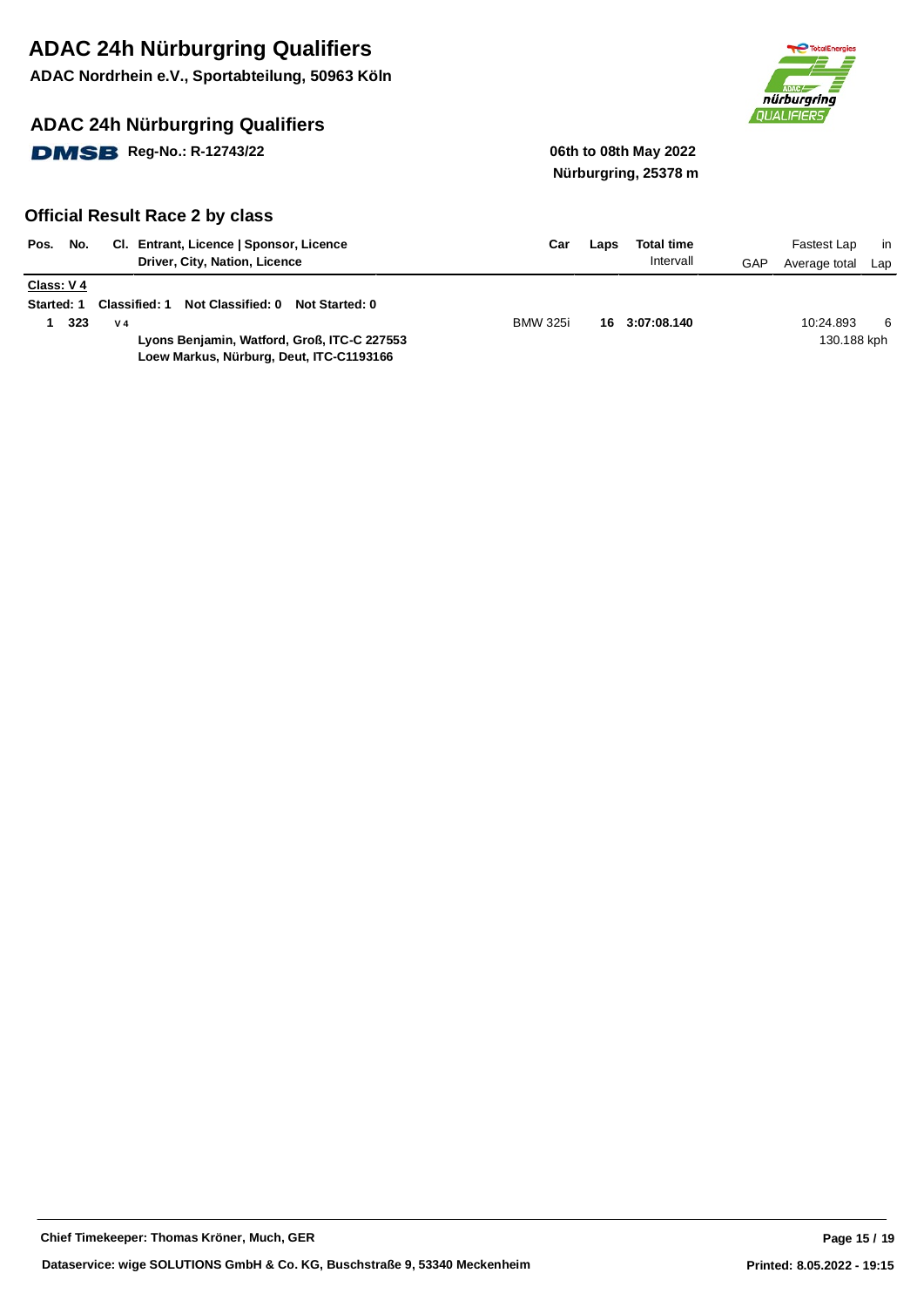**ADAC Nordrhein e.V., Sportabteilung, 50963 Köln**

### **ADAC 24h Nürburgring Qualifiers**

**DMSB** Reg-No.: R-12743/22 **12.1399 12.14 12.14 12.14 12.14 12.14 12.14 12.14 12.14 12.14 12.14 12.14 12.14 12.14 12.14 12.14 12.14 12.14 12.14 12.14 12.14 12.14 12.14 12.14 12.14 12.14 12.14 12.14 12.14 12.14 12.14 12.14** 



# **Nürburgring, 25378 m**

| No.<br>Pos.                    | CI. Entrant, Licence   Sponsor, Licence<br>Driver, City, Nation, Licence                                                                               | Car                                      | Laps | <b>Total time</b><br>Intervall | GAP | Fastest Lap<br>Average total | - in<br>Lap |
|--------------------------------|--------------------------------------------------------------------------------------------------------------------------------------------------------|------------------------------------------|------|--------------------------------|-----|------------------------------|-------------|
| Class: V4<br><b>Started: 1</b> | Not Classified: 0<br>Classified: 1<br>323<br>V <sub>4</sub><br>Lyons Benjamin, Watford, Groß, ITC-C 227553<br>Loew Markus, Nürburg, Deut, ITC-C1193166 | <b>Not Started: 0</b><br><b>BMW 325i</b> |      | 16 3:07:08.140                 |     | 10:24.893<br>130.188 kph     | 6           |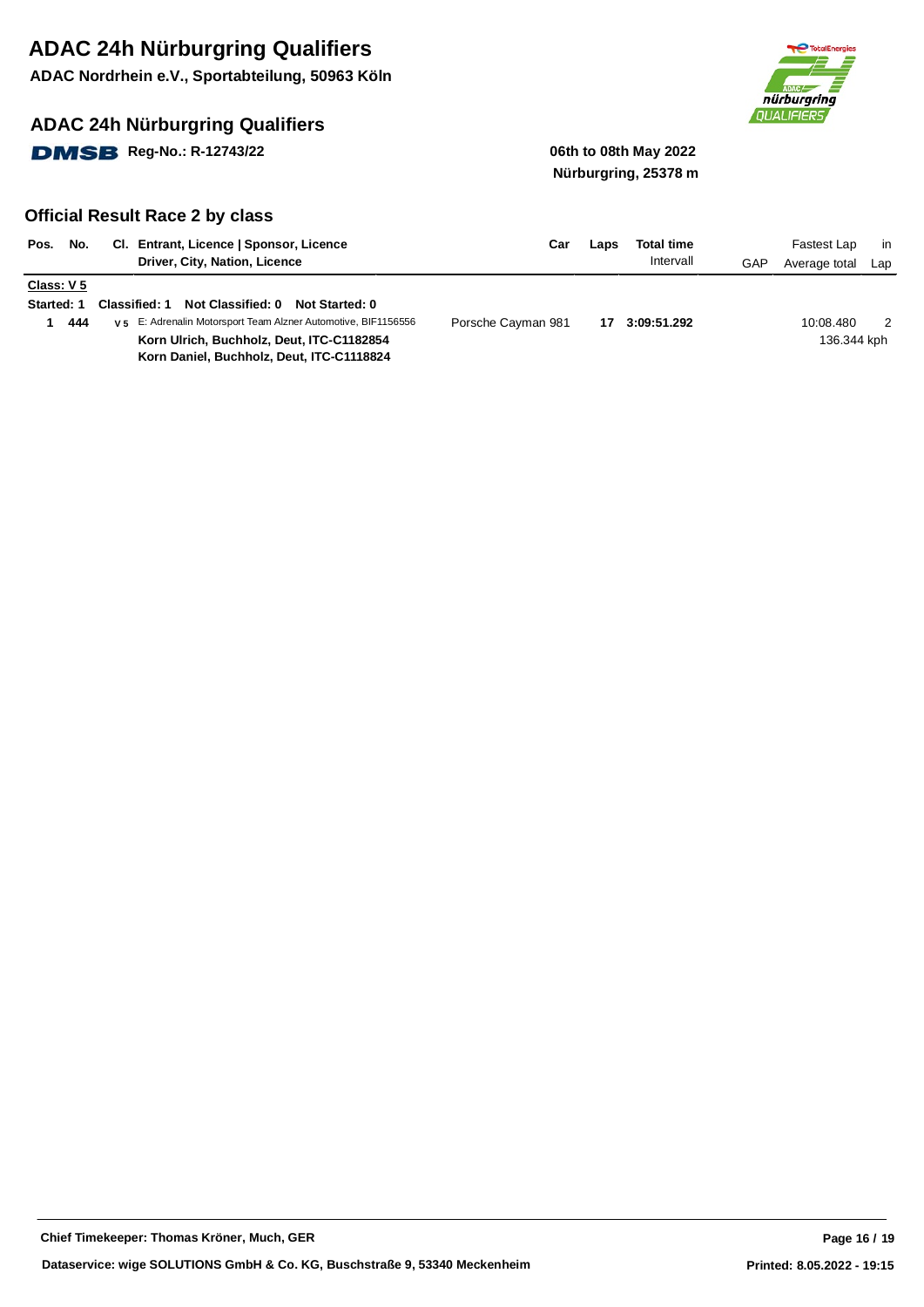**ADAC Nordrhein e.V., Sportabteilung, 50963 Köln**

### **ADAC 24h Nürburgring Qualifiers**

**DMSB** Reg-No.: R-12743/22 06th to 08th May 2022



# **Nürburgring, 25378 m**

| Pos.                            | No. | CI. Entrant, Licence   Sponsor, Licence<br>Driver, City, Nation, Licence                                                                                                                                                           | Car                | Laps | <b>Total time</b><br>Intervall | GAP | Fastest Lap<br>Average total | .in<br>Lap |
|---------------------------------|-----|------------------------------------------------------------------------------------------------------------------------------------------------------------------------------------------------------------------------------------|--------------------|------|--------------------------------|-----|------------------------------|------------|
| Class: V 5<br><b>Started: 1</b> | 444 | Not Classified: 0<br><b>Classified: 1</b><br>Not Started: 0<br>v <sub>5</sub> E: Adrenalin Motorsport Team Alzner Automotive, BIF1156556<br>Korn Ulrich, Buchholz, Deut, ITC-C1182854<br>Korn Daniel, Buchholz, Deut, ITC-C1118824 | Porsche Cayman 981 | 17   | 3:09:51.292                    |     | 10:08.480<br>136.344 kph     |            |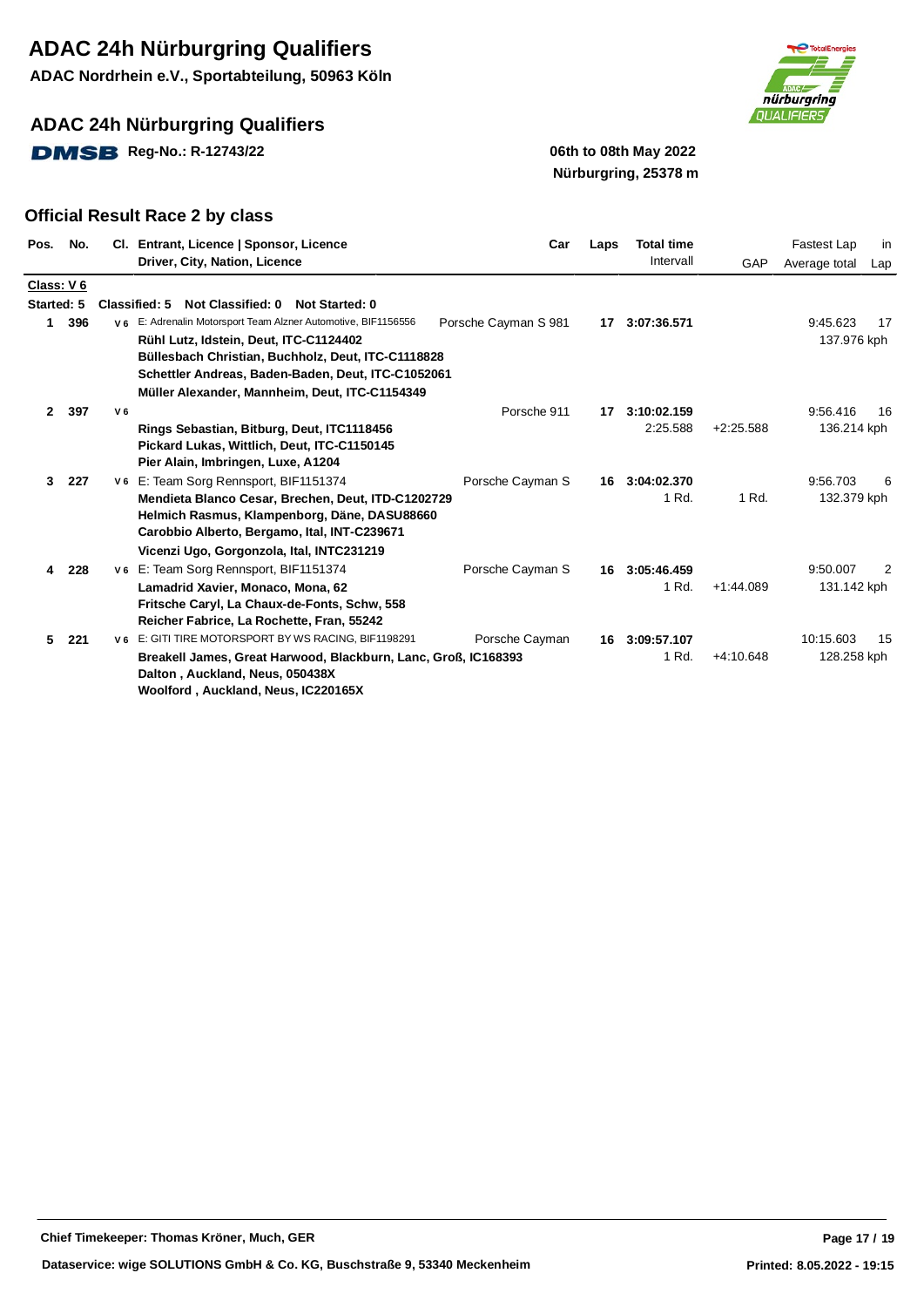**ADAC Nordrhein e.V., Sportabteilung, 50963 Köln**

### **ADAC 24h Nürburgring Qualifiers**

**DMSB** Reg-No.: R-12743/22 **12.1399 12.14 12.14 12.14 12.14 12.14 12.14 12.14 12.14 12.14 12.14 12.14 12.14 12.14 12.14 12.14 12.14 12.14 12.14 12.14 12.14 12.14 12.14 12.14 12.14 12.14 12.14 12.14 12.14 12.14 12.14 12.14** 



# **Nürburgring, 25378 m**

| Pos.       | No. |                | CI. Entrant, Licence   Sponsor, Licence<br>Driver, City, Nation, Licence                                                                                                                                                                                               | Car                  | Laps | <b>Total time</b><br>Intervall | GAP         | Fastest Lap<br>Average total | in<br>Lap |
|------------|-----|----------------|------------------------------------------------------------------------------------------------------------------------------------------------------------------------------------------------------------------------------------------------------------------------|----------------------|------|--------------------------------|-------------|------------------------------|-----------|
| Class: V 6 |     |                |                                                                                                                                                                                                                                                                        |                      |      |                                |             |                              |           |
| Started: 5 |     |                | Not Classified: 0<br><b>Classified: 5</b><br>Not Started: 0                                                                                                                                                                                                            |                      |      |                                |             |                              |           |
| 1          | 396 |                | V 6 E: Adrenalin Motorsport Team Alzner Automotive, BIF1156556<br>Rühl Lutz, Idstein, Deut, ITC-C1124402<br>Büllesbach Christian, Buchholz, Deut, ITC-C1118828<br>Schettler Andreas, Baden-Baden, Deut, ITC-C1052061<br>Müller Alexander, Mannheim, Deut, ITC-C1154349 | Porsche Cayman S 981 | 17   | 3:07:36.571                    |             | 9:45.623<br>137.976 kph      | 17        |
| 2          | 397 | V <sub>6</sub> |                                                                                                                                                                                                                                                                        | Porsche 911          | 17   | 3:10:02.159                    |             | 9:56.416                     | 16        |
|            |     |                | Rings Sebastian, Bitburg, Deut, ITC1118456<br>Pickard Lukas, Wittlich, Deut, ITC-C1150145<br>Pier Alain, Imbringen, Luxe, A1204                                                                                                                                        |                      |      | 2:25.588                       | $+2:25.588$ | 136.214 kph                  |           |
| 3          | 227 |                | v 6 E: Team Sorg Rennsport, BIF1151374                                                                                                                                                                                                                                 | Porsche Cayman S     | 16   | 3:04:02.370                    |             | 9:56.703                     | 6         |
|            |     |                | Mendieta Blanco Cesar, Brechen, Deut, ITD-C1202729<br>Helmich Rasmus, Klampenborg, Däne, DASU88660<br>Carobbio Alberto, Bergamo, Ital, INT-C239671<br>Vicenzi Ugo, Gorgonzola, Ital, INTC231219                                                                        |                      |      | 1 Rd.                          | 1 Rd.       | 132.379 kph                  |           |
| 4          | 228 |                | V6 E: Team Sorg Rennsport, BIF1151374                                                                                                                                                                                                                                  | Porsche Cayman S     | 16   | 3:05:46.459                    |             | 9:50.007                     | 2         |
|            |     |                | Lamadrid Xavier, Monaco, Mona, 62<br>Fritsche Caryl, La Chaux-de-Fonts, Schw, 558<br>Reicher Fabrice, La Rochette, Fran, 55242                                                                                                                                         |                      |      | 1 Rd.                          | $+1:44.089$ | 131.142 kph                  |           |
| 5.         | 221 |                | V 6 E: GITI TIRE MOTORSPORT BY WS RACING, BIF1198291                                                                                                                                                                                                                   | Porsche Cayman       | 16   | 3:09:57.107                    |             | 10:15.603                    | 15        |
|            |     |                | Breakell James, Great Harwood, Blackburn, Lanc, Groß, IC168393<br>Dalton, Auckland, Neus, 050438X<br>Woolford, Auckland, Neus, IC220165X                                                                                                                               |                      |      | 1 Rd.                          | $+4:10.648$ | 128.258 kph                  |           |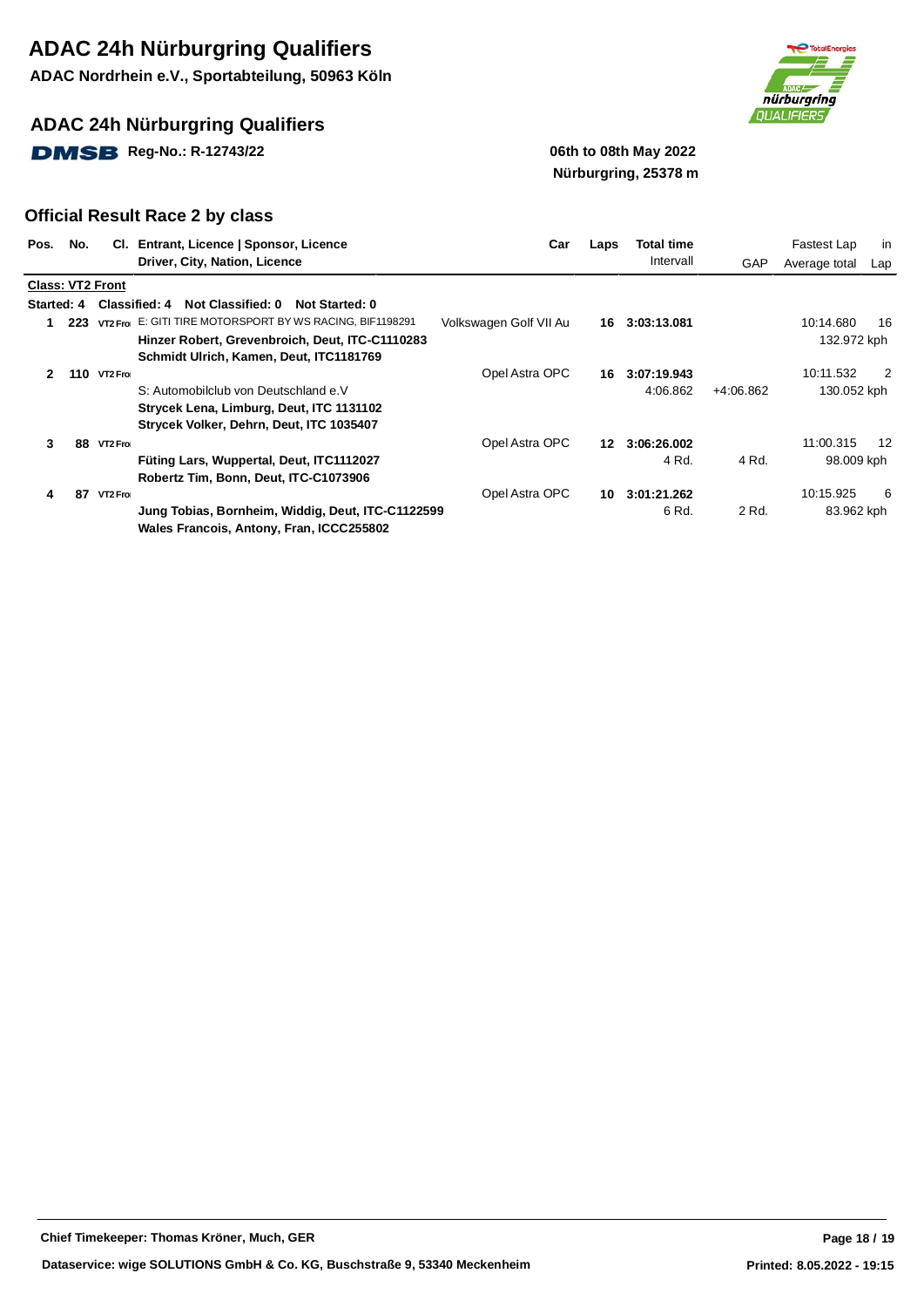**ADAC Nordrhein e.V., Sportabteilung, 50963 Köln**

### **ADAC 24h Nürburgring Qualifiers**

**DMSB** Reg-No.: R-12743/22 **12.1399 12.14 12.14 12.14 12.14 12.14 12.14 12.14 12.14 12.14 12.14 12.14 12.14 12.14 12.14 12.14 12.14 12.14 12.14 12.14 12.14 12.14 12.14 12.14 12.14 12.14 12.14 12.14 12.14 12.14 12.14 12.14** 



# **Nürburgring, 25378 m**

| Pos.              | No. |                         | Cl. Entrant, Licence   Sponsor, Licence                     | Car                    | Laps             | Total time  |           | Fastest Lap   | in  |
|-------------------|-----|-------------------------|-------------------------------------------------------------|------------------------|------------------|-------------|-----------|---------------|-----|
|                   |     |                         | Driver, City, Nation, Licence                               |                        |                  | Intervall   | GAP       | Average total | Lap |
|                   |     | <b>Class: VT2 Front</b> |                                                             |                        |                  |             |           |               |     |
| <b>Started: 4</b> |     |                         | <b>Classified: 4</b><br>Not Classified: 0<br>Not Started: 0 |                        |                  |             |           |               |     |
|                   | 223 |                         | VT2 From E: GITI TIRE MOTORSPORT BY WS RACING, BIF1198291   | Volkswagen Golf VII Au | 16               | 3:03:13.081 |           | 10:14.680     | 16  |
|                   |     |                         | Hinzer Robert, Grevenbroich, Deut, ITC-C1110283             |                        |                  |             |           | 132.972 kph   |     |
|                   |     |                         | Schmidt Ulrich, Kamen, Deut, ITC1181769                     |                        |                  |             |           |               |     |
| 2                 |     | <b>110 VT2 From</b>     |                                                             | Opel Astra OPC         | 16               | 3:07:19.943 |           | 10:11.532     | 2   |
|                   |     |                         | S: Automobilclub von Deutschland e.V                        |                        |                  | 4:06.862    | +4:06.862 | 130.052 kph   |     |
|                   |     |                         | Strycek Lena, Limburg, Deut, ITC 1131102                    |                        |                  |             |           |               |     |
|                   |     |                         | Strycek Volker, Dehrn, Deut, ITC 1035407                    |                        |                  |             |           |               |     |
| 3                 |     | 88 VT2 Froi             |                                                             | Opel Astra OPC         | 12 <sup>12</sup> | 3:06:26.002 |           | 11:00.315     | 12  |
|                   |     |                         | Füting Lars, Wuppertal, Deut, ITC1112027                    |                        |                  | 4 Rd.       | 4 Rd.     | 98.009 kph    |     |
|                   |     |                         | Robertz Tim, Bonn, Deut, ITC-C1073906                       |                        |                  |             |           |               |     |
| 4                 | 87  | VT2 Froi                |                                                             | Opel Astra OPC         | 10               | 3:01:21.262 |           | 10:15.925     | 6   |
|                   |     |                         | Jung Tobias, Bornheim, Widdig, Deut, ITC-C1122599           |                        |                  | 6 Rd.       | 2 Rd.     | 83.962 kph    |     |
|                   |     |                         | Wales Francois, Antony, Fran, ICCC255802                    |                        |                  |             |           |               |     |